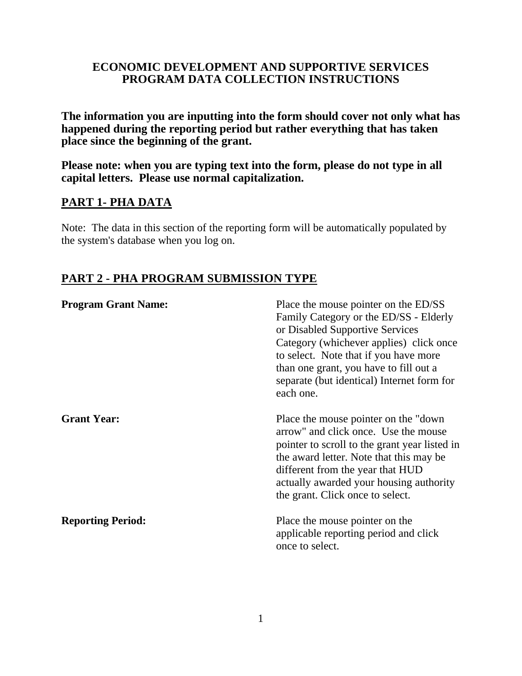# **ECONOMIC DEVELOPMENT AND SUPPORTIVE SERVICES PROGRAM DATA COLLECTION INSTRUCTIONS**

**The information you are inputting into the form should cover not only what has happened during the reporting period but rather everything that has taken place since the beginning of the grant.**

**Please note: when you are typing text into the form, please do not type in all capital letters. Please use normal capitalization.**

# **PART 1- PHA DATA**

Note: The data in this section of the reporting form will be automatically populated by the system's database when you log on.

# **PART 2 - PHA PROGRAM SUBMISSION TYPE**

| <b>Program Grant Name:</b> | Place the mouse pointer on the ED/SS<br>Family Category or the ED/SS - Elderly<br>or Disabled Supportive Services<br>Category (whichever applies) click once<br>to select. Note that if you have more<br>than one grant, you have to fill out a<br>separate (but identical) Internet form for<br>each one. |
|----------------------------|------------------------------------------------------------------------------------------------------------------------------------------------------------------------------------------------------------------------------------------------------------------------------------------------------------|
| <b>Grant Year:</b>         | Place the mouse pointer on the "down"<br>arrow" and click once. Use the mouse<br>pointer to scroll to the grant year listed in<br>the award letter. Note that this may be<br>different from the year that HUD<br>actually awarded your housing authority<br>the grant. Click once to select.               |
| <b>Reporting Period:</b>   | Place the mouse pointer on the<br>applicable reporting period and click<br>once to select.                                                                                                                                                                                                                 |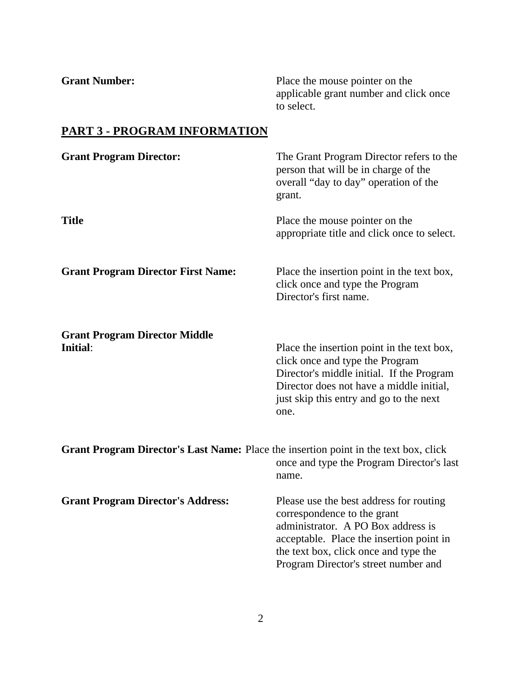**Grant Number:** Place the mouse pointer on the applicable grant number and click once to select. **PART 3 - PROGRAM INFORMATION Grant Program Director:** The Grant Program Director refers to the person that will be in charge of the overall "day to day" operation of the grant. **Title** Place the mouse pointer on the appropriate title and click once to select. **Grant Program Director First Name:** Place the insertion point in the text box, click once and type the Program Director's first name. **Grant Program Director Middle Initial:** Place the insertion point in the text box, click once and type the Program Director's middle initial. If the Program Director does not have a middle initial, just skip this entry and go to the next one. **Grant Program Director's Last Name:** Place the insertion point in the text box, click once and type the Program Director's last name. **Grant Program Director's Address:** Please use the best address for routing correspondence to the grant administrator. A PO Box address is acceptable. Place the insertion point in

the text box, click once and type the Program Director's street number and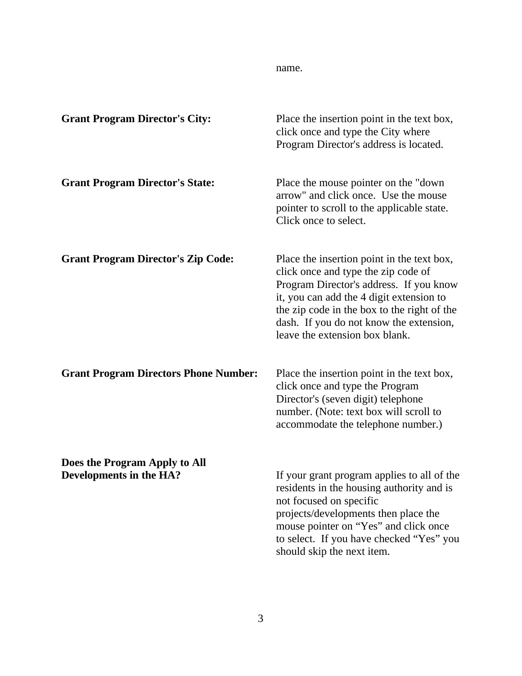| <b>Grant Program Director's City:</b>                    | Place the insertion point in the text box,<br>click once and type the City where<br>Program Director's address is located.                                                                                                                                                                           |
|----------------------------------------------------------|------------------------------------------------------------------------------------------------------------------------------------------------------------------------------------------------------------------------------------------------------------------------------------------------------|
| <b>Grant Program Director's State:</b>                   | Place the mouse pointer on the "down"<br>arrow" and click once. Use the mouse<br>pointer to scroll to the applicable state.<br>Click once to select.                                                                                                                                                 |
| <b>Grant Program Director's Zip Code:</b>                | Place the insertion point in the text box,<br>click once and type the zip code of<br>Program Director's address. If you know<br>it, you can add the 4 digit extension to<br>the zip code in the box to the right of the<br>dash. If you do not know the extension,<br>leave the extension box blank. |
| <b>Grant Program Directors Phone Number:</b>             | Place the insertion point in the text box,<br>click once and type the Program<br>Director's (seven digit) telephone<br>number. (Note: text box will scroll to<br>accommodate the telephone number.)                                                                                                  |
| Does the Program Apply to All<br>Developments in the HA? | If your grant program applies to all of the<br>residents in the housing authority and is<br>not focused on specific<br>projects/developments then place the<br>mouse pointer on "Yes" and click once<br>to select. If you have checked "Yes" you<br>should skip the next item.                       |

name.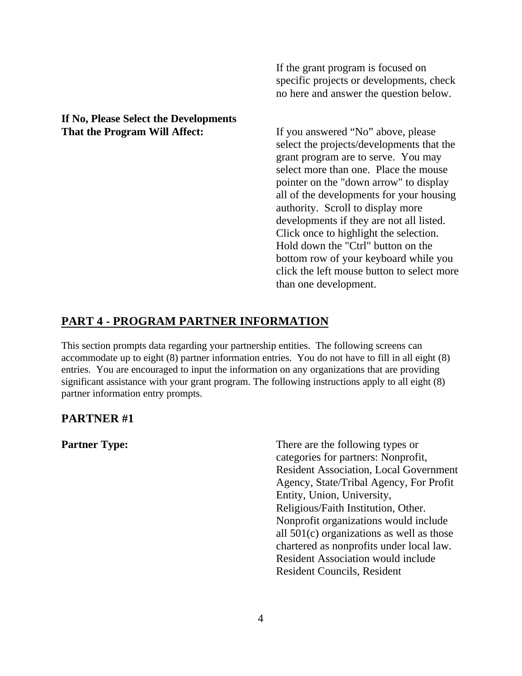### **If No, Please Select the Developments That the Program Will Affect:** If you answered "No" above, please

If the grant program is focused on specific projects or developments, check no here and answer the question below.

select the projects/developments that the grant program are to serve. You may select more than one. Place the mouse pointer on the "down arrow" to display all of the developments for your housing authority. Scroll to display more developments if they are not all listed. Click once to highlight the selection. Hold down the "Ctrl" button on the bottom row of your keyboard while you click the left mouse button to select more than one development.

# **PART 4 - PROGRAM PARTNER INFORMATION**

This section prompts data regarding your partnership entities. The following screens can accommodate up to eight (8) partner information entries. You do not have to fill in all eight (8) entries. You are encouraged to input the information on any organizations that are providing significant assistance with your grant program. The following instructions apply to all eight (8) partner information entry prompts.

# **PARTNER #1**

**Partner Type:** There are the following types or categories for partners: Nonprofit, Resident Association, Local Government Agency, State/Tribal Agency, For Profit Entity, Union, University, Religious/Faith Institution, Other. Nonprofit organizations would include all 501(c) organizations as well as those chartered as nonprofits under local law. Resident Association would include Resident Councils, Resident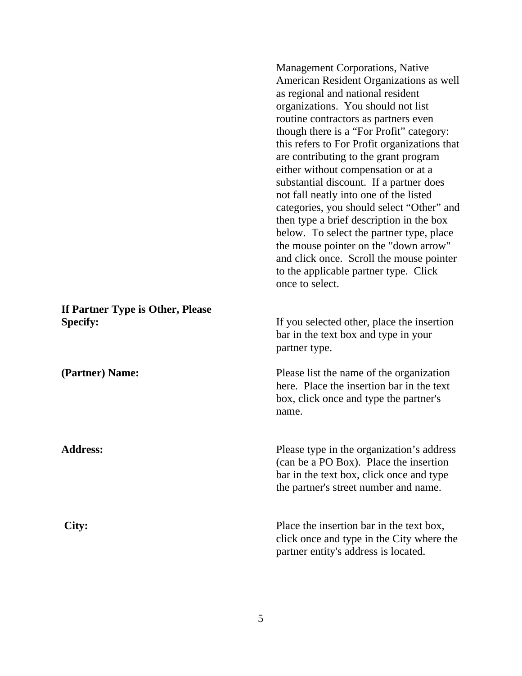|                                                     | American Resident Organizations as well<br>as regional and national resident<br>organizations. You should not list<br>routine contractors as partners even<br>though there is a "For Profit" category:<br>this refers to For Profit organizations that<br>are contributing to the grant program<br>either without compensation or at a<br>substantial discount. If a partner does<br>not fall neatly into one of the listed<br>categories, you should select "Other" and<br>then type a brief description in the box<br>below. To select the partner type, place<br>the mouse pointer on the "down arrow"<br>and click once. Scroll the mouse pointer<br>to the applicable partner type. Click<br>once to select. |
|-----------------------------------------------------|-------------------------------------------------------------------------------------------------------------------------------------------------------------------------------------------------------------------------------------------------------------------------------------------------------------------------------------------------------------------------------------------------------------------------------------------------------------------------------------------------------------------------------------------------------------------------------------------------------------------------------------------------------------------------------------------------------------------|
| If Partner Type is Other, Please<br><b>Specify:</b> | If you selected other, place the insertion<br>bar in the text box and type in your<br>partner type.                                                                                                                                                                                                                                                                                                                                                                                                                                                                                                                                                                                                               |
| (Partner) Name:                                     | Please list the name of the organization<br>here. Place the insertion bar in the text<br>box, click once and type the partner's<br>name.                                                                                                                                                                                                                                                                                                                                                                                                                                                                                                                                                                          |
| <b>Address:</b>                                     | Please type in the organization's address<br>(can be a PO Box). Place the insertion<br>bar in the text box, click once and type<br>the partner's street number and name.                                                                                                                                                                                                                                                                                                                                                                                                                                                                                                                                          |
| City:                                               | Place the insertion bar in the text box,<br>click once and type in the City where the<br>partner entity's address is located.                                                                                                                                                                                                                                                                                                                                                                                                                                                                                                                                                                                     |

Management Corporations, Native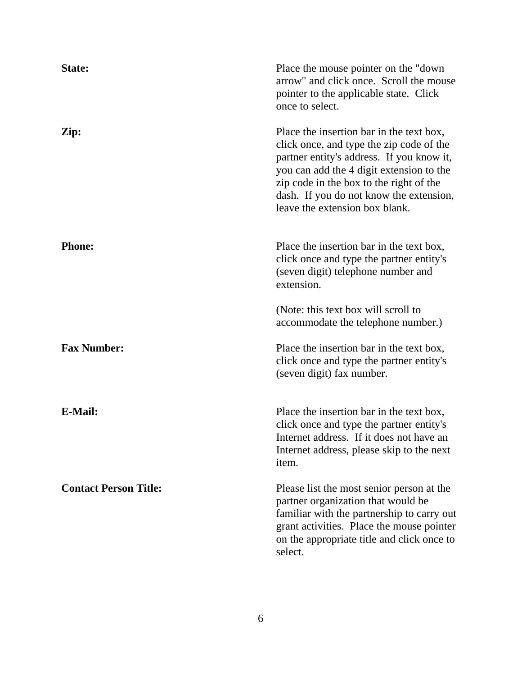| State:                       | Place the mouse pointer on the "down<br>arrow" and click once. Scroll the mouse<br>pointer to the applicable state. Click<br>once to select.                                                                                                                                                          |
|------------------------------|-------------------------------------------------------------------------------------------------------------------------------------------------------------------------------------------------------------------------------------------------------------------------------------------------------|
| Zip:                         | Place the insertion bar in the text box,<br>click once, and type the zip code of the<br>partner entity's address. If you know it,<br>you can add the 4 digit extension to the<br>zip code in the box to the right of the<br>dash. If you do not know the extension,<br>leave the extension box blank. |
| <b>Phone:</b>                | Place the insertion bar in the text box,<br>click once and type the partner entity's<br>(seven digit) telephone number and<br>extension.                                                                                                                                                              |
|                              | (Note: this text box will scroll to<br>accommodate the telephone number.)                                                                                                                                                                                                                             |
| <b>Fax Number:</b>           | Place the insertion bar in the text box,<br>click once and type the partner entity's<br>(seven digit) fax number.                                                                                                                                                                                     |
| <b>E-Mail:</b>               | Place the insertion bar in the text box,<br>click once and type the partner entity's<br>Internet address. If it does not have an<br>Internet address, please skip to the next<br>item.                                                                                                                |
| <b>Contact Person Title:</b> | Please list the most senior person at the<br>partner organization that would be<br>familiar with the partnership to carry out<br>grant activities. Place the mouse pointer<br>on the appropriate title and click once to<br>select.                                                                   |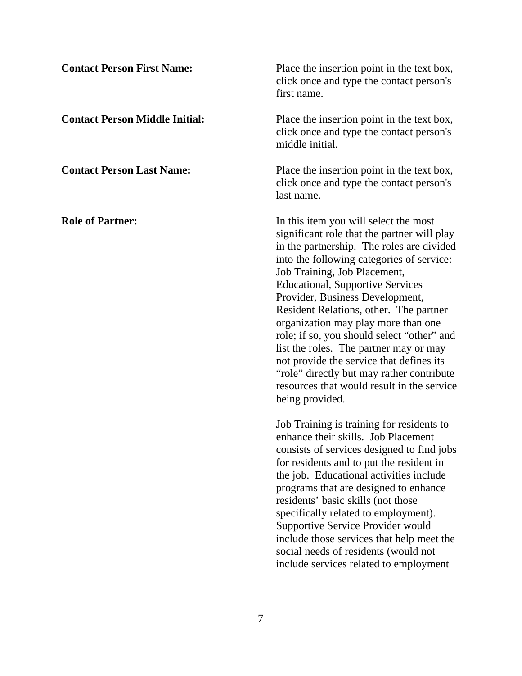| <b>Contact Person First Name:</b>     | Place the insertion point in the text box,<br>click once and type the contact person's<br>first name.                                                                                                                                                                                                                                                                                                                                                                                                                                                                                                                           |
|---------------------------------------|---------------------------------------------------------------------------------------------------------------------------------------------------------------------------------------------------------------------------------------------------------------------------------------------------------------------------------------------------------------------------------------------------------------------------------------------------------------------------------------------------------------------------------------------------------------------------------------------------------------------------------|
| <b>Contact Person Middle Initial:</b> | Place the insertion point in the text box,<br>click once and type the contact person's<br>middle initial.                                                                                                                                                                                                                                                                                                                                                                                                                                                                                                                       |
| <b>Contact Person Last Name:</b>      | Place the insertion point in the text box,<br>click once and type the contact person's<br>last name.                                                                                                                                                                                                                                                                                                                                                                                                                                                                                                                            |
| <b>Role of Partner:</b>               | In this item you will select the most<br>significant role that the partner will play<br>in the partnership. The roles are divided<br>into the following categories of service:<br>Job Training, Job Placement,<br><b>Educational, Supportive Services</b><br>Provider, Business Development,<br>Resident Relations, other. The partner<br>organization may play more than one<br>role; if so, you should select "other" and<br>list the roles. The partner may or may<br>not provide the service that defines its<br>"role" directly but may rather contribute<br>resources that would result in the service<br>being provided. |
|                                       | Job Training is training for residents to<br>enhance their skills. Job Placement<br>consists of services designed to find jobs<br>for residents and to put the resident in<br>the job. Educational activities include<br>programs that are designed to enhance<br>residents' basic skills (not those<br>specifically related to employment).<br>Supportive Service Provider would<br>include those services that help meet the<br>social needs of residents (would not<br>include services related to employment                                                                                                                |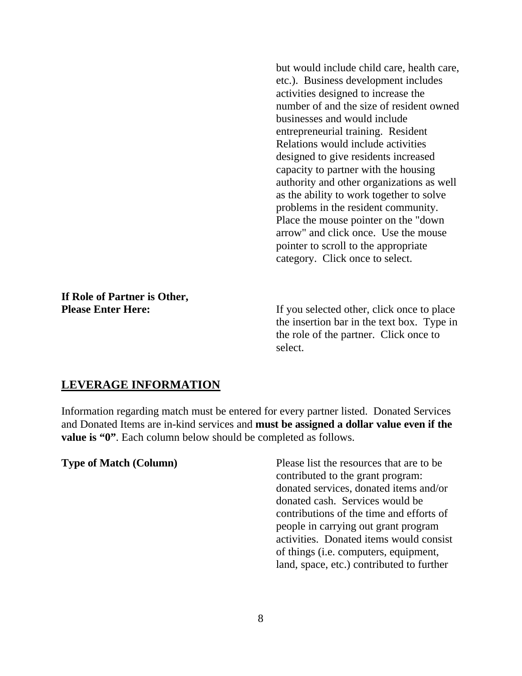but would include child care, health care, etc.). Business development includes activities designed to increase the number of and the size of resident owned businesses and would include entrepreneurial training. Resident Relations would include activities designed to give residents increased capacity to partner with the housing authority and other organizations as well as the ability to work together to solve problems in the resident community. Place the mouse pointer on the "down arrow" and click once. Use the mouse pointer to scroll to the appropriate category. Click once to select.

# **If Role of Partner is Other,**

**Please Enter Here:** If you selected other, click once to place the insertion bar in the text box. Type in the role of the partner. Click once to select.

# **LEVERAGE INFORMATION**

Information regarding match must be entered for every partner listed. Donated Services and Donated Items are in-kind services and **must be assigned a dollar value even if the value is "0"**. Each column below should be completed as follows.

**Type of Match (Column)** Please list the resources that are to be contributed to the grant program: donated services, donated items and/or donated cash. Services would be contributions of the time and efforts of people in carrying out grant program activities. Donated items would consist of things (i.e. computers, equipment, land, space, etc.) contributed to further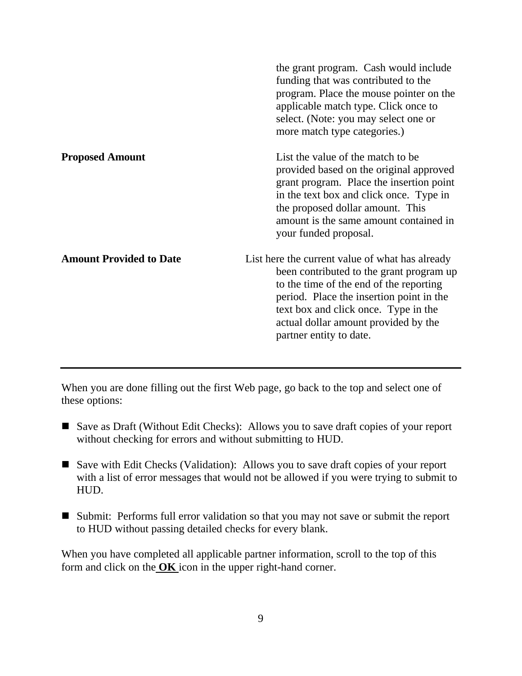|                                | the grant program. Cash would include<br>funding that was contributed to the<br>program. Place the mouse pointer on the<br>applicable match type. Click once to<br>select. (Note: you may select one or<br>more match type categories.)                                                       |
|--------------------------------|-----------------------------------------------------------------------------------------------------------------------------------------------------------------------------------------------------------------------------------------------------------------------------------------------|
| <b>Proposed Amount</b>         | List the value of the match to be<br>provided based on the original approved<br>grant program. Place the insertion point<br>in the text box and click once. Type in<br>the proposed dollar amount. This<br>amount is the same amount contained in<br>your funded proposal.                    |
| <b>Amount Provided to Date</b> | List here the current value of what has already<br>been contributed to the grant program up<br>to the time of the end of the reporting<br>period. Place the insertion point in the<br>text box and click once. Type in the<br>actual dollar amount provided by the<br>partner entity to date. |

When you are done filling out the first Web page, go back to the top and select one of these options:

- Save as Draft (Without Edit Checks): Allows you to save draft copies of your report without checking for errors and without submitting to HUD.
- Save with Edit Checks (Validation): Allows you to save draft copies of your report with a list of error messages that would not be allowed if you were trying to submit to HUD.
- Submit: Performs full error validation so that you may not save or submit the report to HUD without passing detailed checks for every blank.

When you have completed all applicable partner information, scroll to the top of this form and click on the **OK** icon in the upper right-hand corner.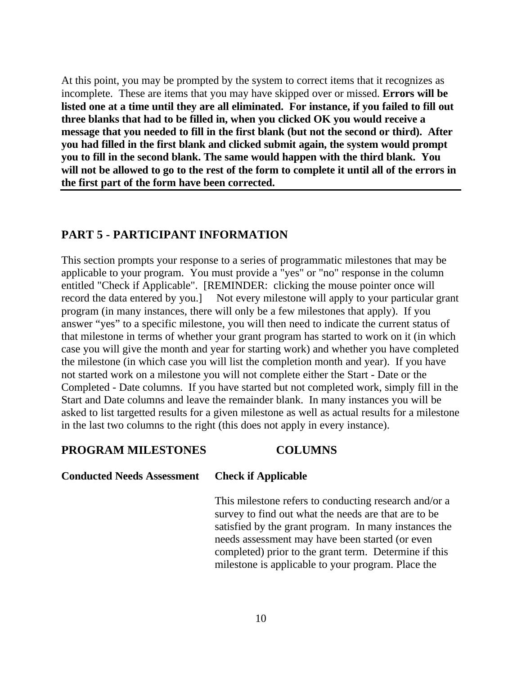At this point, you may be prompted by the system to correct items that it recognizes as incomplete. These are items that you may have skipped over or missed. **Errors will be listed one at a time until they are all eliminated. For instance, if you failed to fill out three blanks that had to be filled in, when you clicked OK you would receive a message that you needed to fill in the first blank (but not the second or third). After you had filled in the first blank and clicked submit again, the system would prompt you to fill in the second blank. The same would happen with the third blank. You will not be allowed to go to the rest of the form to complete it until all of the errors in the first part of the form have been corrected.**

# **PART 5 - PARTICIPANT INFORMATION**

This section prompts your response to a series of programmatic milestones that may be applicable to your program. You must provide a "yes" or "no" response in the column entitled "Check if Applicable". [REMINDER: clicking the mouse pointer once will record the data entered by you.] Not every milestone will apply to your particular grant program (in many instances, there will only be a few milestones that apply). If you answer "yes" to a specific milestone, you will then need to indicate the current status of that milestone in terms of whether your grant program has started to work on it (in which case you will give the month and year for starting work) and whether you have completed the milestone (in which case you will list the completion month and year). If you have not started work on a milestone you will not complete either the Start - Date or the Completed - Date columns. If you have started but not completed work, simply fill in the Start and Date columns and leave the remainder blank. In many instances you will be asked to list targetted results for a given milestone as well as actual results for a milestone in the last two columns to the right (this does not apply in every instance).

### **PROGRAM MILESTONES COLUMNS**

### **Conducted Needs Assessment Check if Applicable**

This milestone refers to conducting research and/or a survey to find out what the needs are that are to be satisfied by the grant program. In many instances the needs assessment may have been started (or even completed) prior to the grant term. Determine if this milestone is applicable to your program. Place the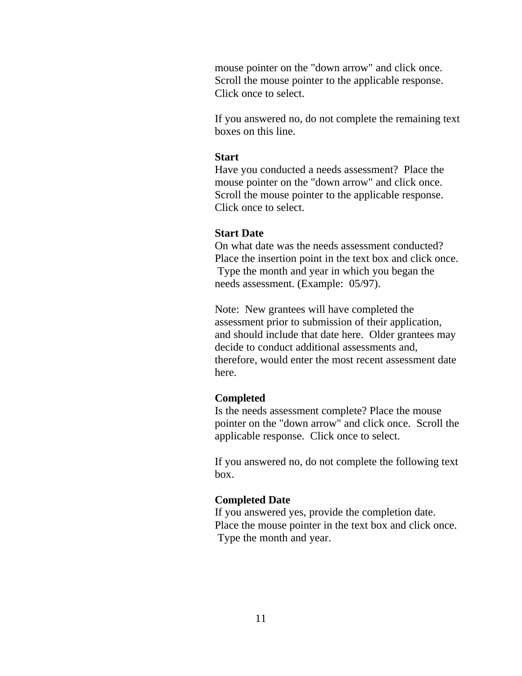mouse pointer on the "down arrow" and click once. Scroll the mouse pointer to the applicable response. Click once to select.

If you answered no, do not complete the remaining text boxes on this line.

### **Start**

Have you conducted a needs assessment? Place the mouse pointer on the "down arrow" and click once. Scroll the mouse pointer to the applicable response. Click once to select.

### **Start Date**

On what date was the needs assessment conducted? Place the insertion point in the text box and click once. Type the month and year in which you began the needs assessment. (Example: 05/97).

Note: New grantees will have completed the assessment prior to submission of their application, and should include that date here. Older grantees may decide to conduct additional assessments and, therefore, would enter the most recent assessment date here.

### **Completed**

Is the needs assessment complete? Place the mouse pointer on the "down arrow" and click once. Scroll the applicable response. Click once to select.

If you answered no, do not complete the following text box.

### **Completed Date**

If you answered yes, provide the completion date. Place the mouse pointer in the text box and click once. Type the month and year.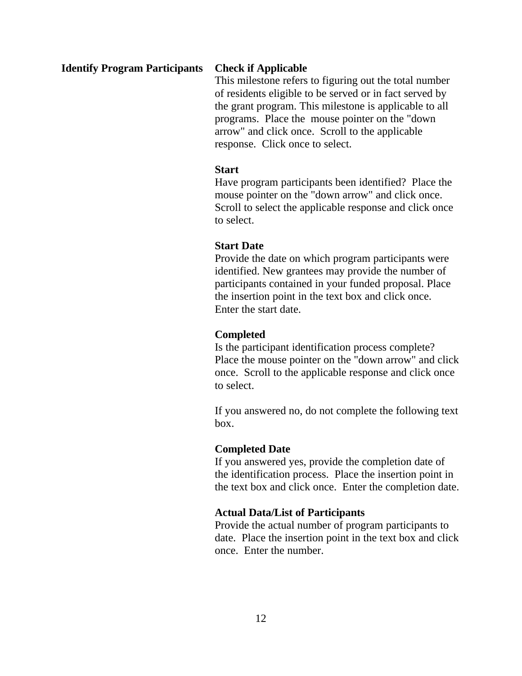### **Identify Program Participants Check if Applicable**

This milestone refers to figuring out the total number of residents eligible to be served or in fact served by the grant program. This milestone is applicable to all programs. Place the mouse pointer on the "down arrow" and click once. Scroll to the applicable response. Click once to select.

### **Start**

Have program participants been identified? Place the mouse pointer on the "down arrow" and click once. Scroll to select the applicable response and click once to select.

### **Start Date**

Provide the date on which program participants were identified. New grantees may provide the number of participants contained in your funded proposal. Place the insertion point in the text box and click once. Enter the start date.

### **Completed**

Is the participant identification process complete? Place the mouse pointer on the "down arrow" and click once. Scroll to the applicable response and click once to select.

If you answered no, do not complete the following text box.

### **Completed Date**

If you answered yes, provide the completion date of the identification process. Place the insertion point in the text box and click once. Enter the completion date.

### **Actual Data/List of Participants**

Provide the actual number of program participants to date. Place the insertion point in the text box and click once. Enter the number.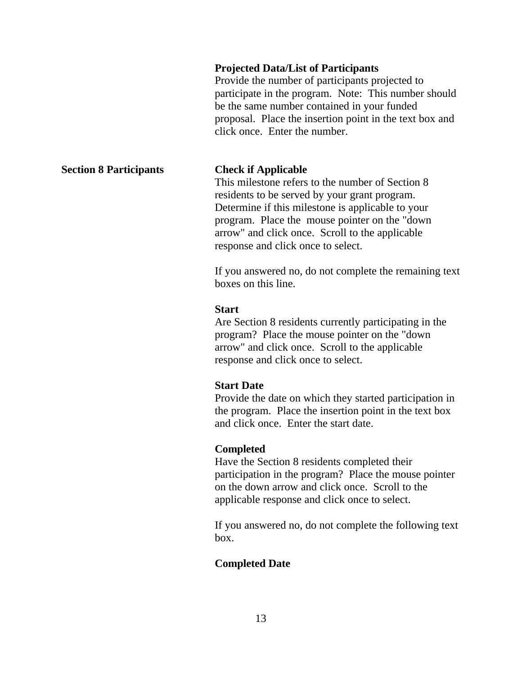### **Projected Data/List of Participants**

Provide the number of participants projected to participate in the program. Note: This number should be the same number contained in your funded proposal. Place the insertion point in the text box and click once. Enter the number.

### **Section 8 Participants Check if Applicable**

This milestone refers to the number of Section 8 residents to be served by your grant program. Determine if this milestone is applicable to your program. Place the mouse pointer on the "down arrow" and click once. Scroll to the applicable response and click once to select.

If you answered no, do not complete the remaining text boxes on this line.

### **Start**

Are Section 8 residents currently participating in the program? Place the mouse pointer on the "down arrow" and click once. Scroll to the applicable response and click once to select.

### **Start Date**

Provide the date on which they started participation in the program. Place the insertion point in the text box and click once. Enter the start date.

### **Completed**

Have the Section 8 residents completed their participation in the program? Place the mouse pointer on the down arrow and click once. Scroll to the applicable response and click once to select.

If you answered no, do not complete the following text box.

### **Completed Date**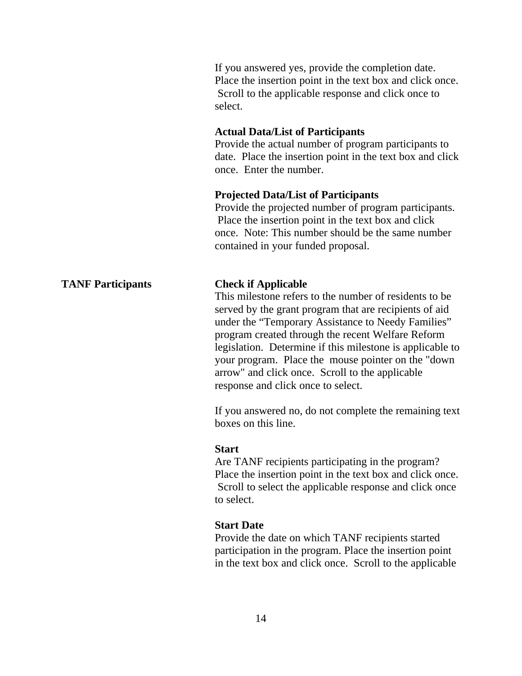If you answered yes, provide the completion date. Place the insertion point in the text box and click once. Scroll to the applicable response and click once to select.

### **Actual Data/List of Participants**

Provide the actual number of program participants to date. Place the insertion point in the text box and click once. Enter the number.

### **Projected Data/List of Participants**

Provide the projected number of program participants. Place the insertion point in the text box and click once. Note: This number should be the same number contained in your funded proposal.

### **TANF Participants Check if Applicable**

This milestone refers to the number of residents to be served by the grant program that are recipients of aid under the "Temporary Assistance to Needy Families" program created through the recent Welfare Reform legislation. Determine if this milestone is applicable to your program. Place the mouse pointer on the "down arrow" and click once. Scroll to the applicable response and click once to select.

If you answered no, do not complete the remaining text boxes on this line.

### **Start**

Are TANF recipients participating in the program? Place the insertion point in the text box and click once. Scroll to select the applicable response and click once to select.

### **Start Date**

Provide the date on which TANF recipients started participation in the program. Place the insertion point in the text box and click once. Scroll to the applicable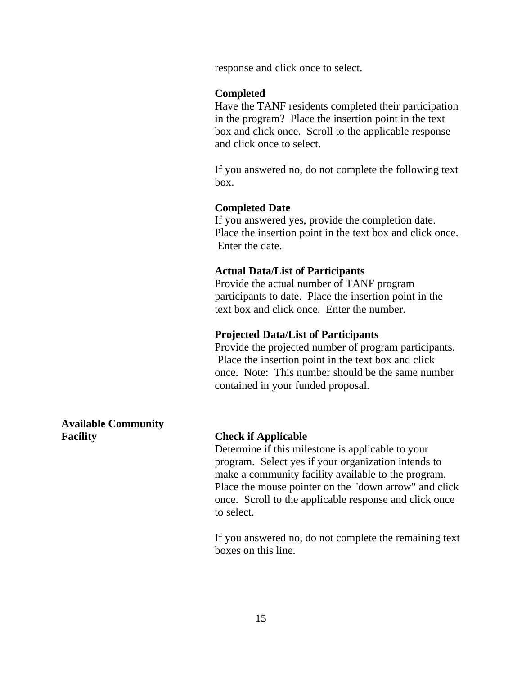response and click once to select.

### **Completed**

Have the TANF residents completed their participation in the program? Place the insertion point in the text box and click once. Scroll to the applicable response and click once to select.

If you answered no, do not complete the following text box.

### **Completed Date**

If you answered yes, provide the completion date. Place the insertion point in the text box and click once. Enter the date.

### **Actual Data/List of Participants**

Provide the actual number of TANF program participants to date. Place the insertion point in the text box and click once. Enter the number.

### **Projected Data/List of Participants**

Provide the projected number of program participants. Place the insertion point in the text box and click once. Note: This number should be the same number contained in your funded proposal.

**Available Community Facility Check if Applicable**

Determine if this milestone is applicable to your program. Select yes if your organization intends to make a community facility available to the program. Place the mouse pointer on the "down arrow" and click once. Scroll to the applicable response and click once to select.

If you answered no, do not complete the remaining text boxes on this line.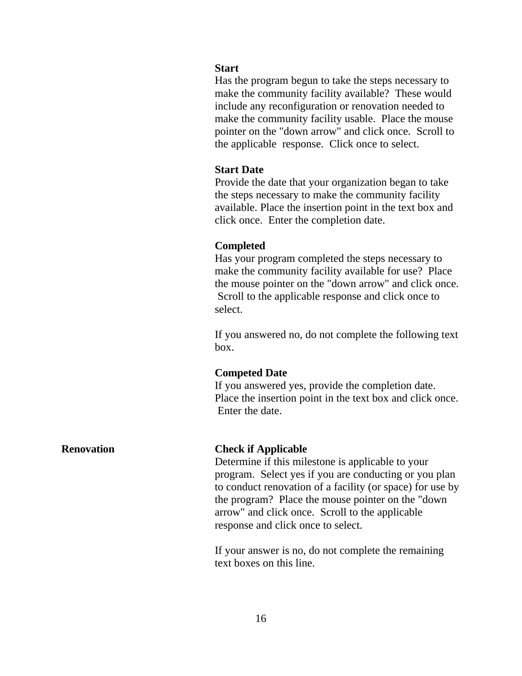### **Start**

Has the program begun to take the steps necessary to make the community facility available? These would include any reconfiguration or renovation needed to make the community facility usable. Place the mouse pointer on the "down arrow" and click once. Scroll to the applicable response. Click once to select.

### **Start Date**

Provide the date that your organization began to take the steps necessary to make the community facility available. Place the insertion point in the text box and click once. Enter the completion date.

### **Completed**

Has your program completed the steps necessary to make the community facility available for use? Place the mouse pointer on the "down arrow" and click once. Scroll to the applicable response and click once to select.

If you answered no, do not complete the following text box.

### **Competed Date**

If you answered yes, provide the completion date. Place the insertion point in the text box and click once. Enter the date.

### **Renovation Check if Applicable**

Determine if this milestone is applicable to your program. Select yes if you are conducting or you plan to conduct renovation of a facility (or space) for use by the program? Place the mouse pointer on the "down arrow" and click once. Scroll to the applicable response and click once to select.

If your answer is no, do not complete the remaining text boxes on this line.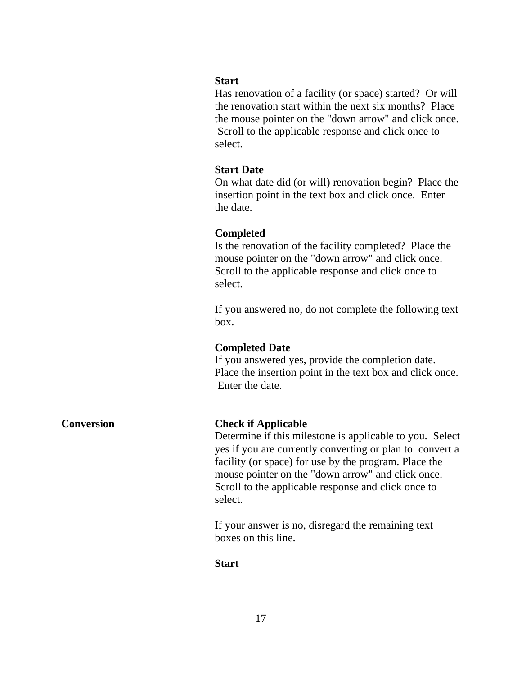### **Start**

Has renovation of a facility (or space) started? Or will the renovation start within the next six months? Place the mouse pointer on the "down arrow" and click once. Scroll to the applicable response and click once to select.

### **Start Date**

On what date did (or will) renovation begin? Place the insertion point in the text box and click once. Enter the date.

### **Completed**

Is the renovation of the facility completed? Place the mouse pointer on the "down arrow" and click once. Scroll to the applicable response and click once to select.

If you answered no, do not complete the following text box.

### **Completed Date**

If you answered yes, provide the completion date. Place the insertion point in the text box and click once. Enter the date.

### **Conversion Check if Applicable**

Determine if this milestone is applicable to you. Select yes if you are currently converting or plan to convert a facility (or space) for use by the program. Place the mouse pointer on the "down arrow" and click once. Scroll to the applicable response and click once to select.

If your answer is no, disregard the remaining text boxes on this line.

### **Start**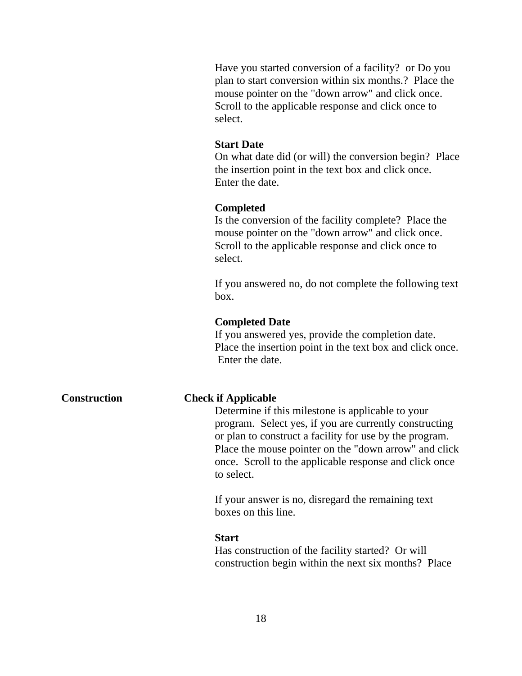Have you started conversion of a facility? or Do you plan to start conversion within six months.? Place the mouse pointer on the "down arrow" and click once. Scroll to the applicable response and click once to select.

### **Start Date**

On what date did (or will) the conversion begin? Place the insertion point in the text box and click once. Enter the date.

### **Completed**

Is the conversion of the facility complete? Place the mouse pointer on the "down arrow" and click once. Scroll to the applicable response and click once to select.

If you answered no, do not complete the following text box.

### **Completed Date**

If you answered yes, provide the completion date. Place the insertion point in the text box and click once. Enter the date.

### **Construction Check if Applicable**

Determine if this milestone is applicable to your program. Select yes, if you are currently constructing or plan to construct a facility for use by the program. Place the mouse pointer on the "down arrow" and click once. Scroll to the applicable response and click once to select.

If your answer is no, disregard the remaining text boxes on this line.

### **Start**

Has construction of the facility started? Or will construction begin within the next six months? Place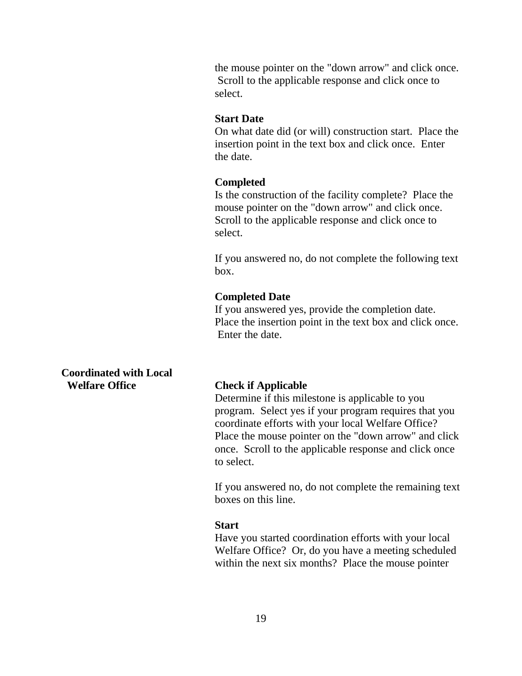the mouse pointer on the "down arrow" and click once. Scroll to the applicable response and click once to select.

### **Start Date**

On what date did (or will) construction start. Place the insertion point in the text box and click once. Enter the date.

### **Completed**

Is the construction of the facility complete? Place the mouse pointer on the "down arrow" and click once. Scroll to the applicable response and click once to select.

If you answered no, do not complete the following text box.

### **Completed Date**

If you answered yes, provide the completion date. Place the insertion point in the text box and click once. Enter the date.

**Coordinated with Local Welfare Office Check if Applicable**

Determine if this milestone is applicable to you program. Select yes if your program requires that you coordinate efforts with your local Welfare Office? Place the mouse pointer on the "down arrow" and click once. Scroll to the applicable response and click once to select.

If you answered no, do not complete the remaining text boxes on this line.

### **Start**

Have you started coordination efforts with your local Welfare Office? Or, do you have a meeting scheduled within the next six months? Place the mouse pointer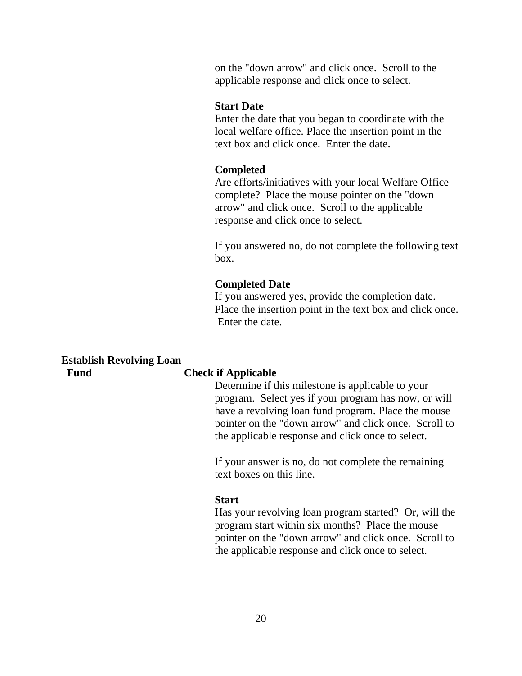on the "down arrow" and click once. Scroll to the applicable response and click once to select.

### **Start Date**

Enter the date that you began to coordinate with the local welfare office. Place the insertion point in the text box and click once. Enter the date.

### **Completed**

Are efforts/initiatives with your local Welfare Office complete? Place the mouse pointer on the "down arrow" and click once. Scroll to the applicable response and click once to select.

If you answered no, do not complete the following text box.

### **Completed Date**

If you answered yes, provide the completion date. Place the insertion point in the text box and click once. Enter the date.

### **Establish Revolving Loan Fund Check if Applicable**

Determine if this milestone is applicable to your program. Select yes if your program has now, or will have a revolving loan fund program. Place the mouse pointer on the "down arrow" and click once. Scroll to the applicable response and click once to select.

If your answer is no, do not complete the remaining text boxes on this line.

### **Start**

Has your revolving loan program started? Or, will the program start within six months? Place the mouse pointer on the "down arrow" and click once. Scroll to the applicable response and click once to select.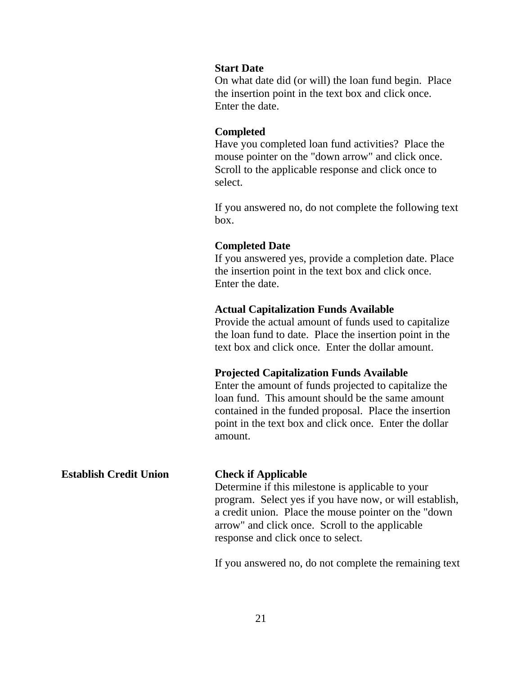### **Start Date**

On what date did (or will) the loan fund begin. Place the insertion point in the text box and click once. Enter the date.

### **Completed**

Have you completed loan fund activities? Place the mouse pointer on the "down arrow" and click once. Scroll to the applicable response and click once to select.

If you answered no, do not complete the following text box.

### **Completed Date**

If you answered yes, provide a completion date. Place the insertion point in the text box and click once. Enter the date.

### **Actual Capitalization Funds Available**

Provide the actual amount of funds used to capitalize the loan fund to date. Place the insertion point in the text box and click once. Enter the dollar amount.

### **Projected Capitalization Funds Available**

Enter the amount of funds projected to capitalize the loan fund. This amount should be the same amount contained in the funded proposal. Place the insertion point in the text box and click once. Enter the dollar amount.

# **Establish Credit Union Check if Applicable** Determine if this milestone is applicable to your program. Select yes if you have now, or will establish, a credit union. Place the mouse pointer on the "down arrow" and click once. Scroll to the applicable response and click once to select.

If you answered no, do not complete the remaining text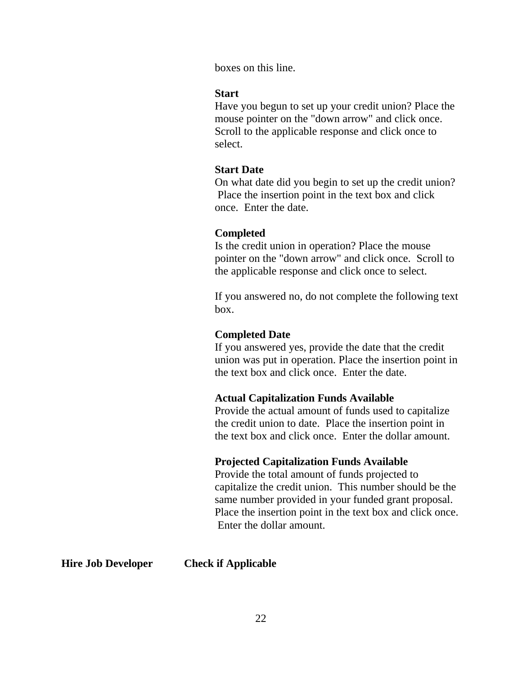boxes on this line.

### **Start**

Have you begun to set up your credit union? Place the mouse pointer on the "down arrow" and click once. Scroll to the applicable response and click once to select.

### **Start Date**

On what date did you begin to set up the credit union? Place the insertion point in the text box and click once. Enter the date.

### **Completed**

Is the credit union in operation? Place the mouse pointer on the "down arrow" and click once. Scroll to the applicable response and click once to select.

If you answered no, do not complete the following text box.

### **Completed Date**

If you answered yes, provide the date that the credit union was put in operation. Place the insertion point in the text box and click once. Enter the date.

### **Actual Capitalization Funds Available**

Provide the actual amount of funds used to capitalize the credit union to date. Place the insertion point in the text box and click once. Enter the dollar amount.

### **Projected Capitalization Funds Available**

Provide the total amount of funds projected to capitalize the credit union. This number should be the same number provided in your funded grant proposal. Place the insertion point in the text box and click once. Enter the dollar amount.

**Hire Job Developer Check if Applicable**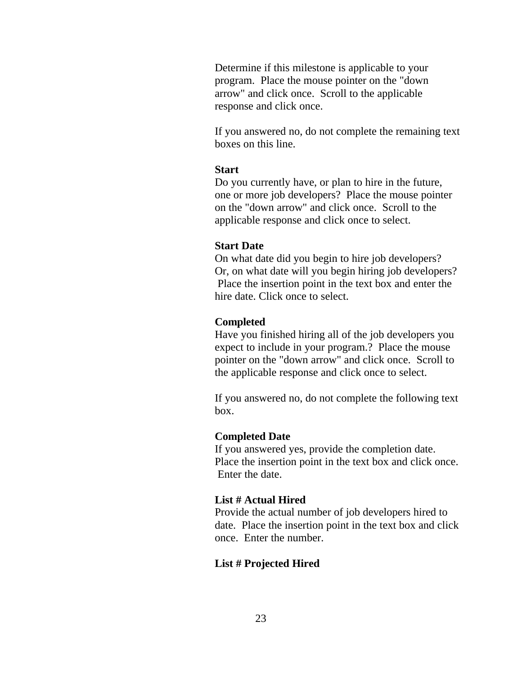Determine if this milestone is applicable to your program. Place the mouse pointer on the "down arrow" and click once. Scroll to the applicable response and click once.

If you answered no, do not complete the remaining text boxes on this line.

### **Start**

Do you currently have, or plan to hire in the future, one or more job developers? Place the mouse pointer on the "down arrow" and click once. Scroll to the applicable response and click once to select.

### **Start Date**

On what date did you begin to hire job developers? Or, on what date will you begin hiring job developers? Place the insertion point in the text box and enter the hire date. Click once to select.

### **Completed**

Have you finished hiring all of the job developers you expect to include in your program.? Place the mouse pointer on the "down arrow" and click once. Scroll to the applicable response and click once to select.

If you answered no, do not complete the following text box.

### **Completed Date**

If you answered yes, provide the completion date. Place the insertion point in the text box and click once. Enter the date.

### **List # Actual Hired**

Provide the actual number of job developers hired to date. Place the insertion point in the text box and click once. Enter the number.

### **List # Projected Hired**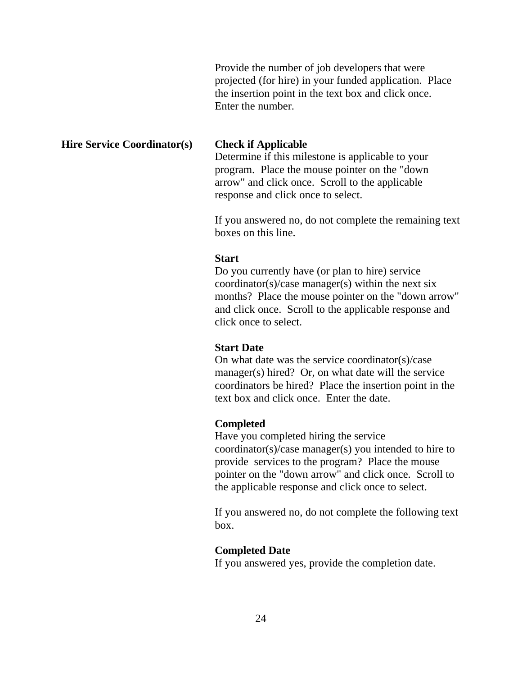Provide the number of job developers that were projected (for hire) in your funded application. Place the insertion point in the text box and click once. Enter the number.

### **Hire Service Coordinator(s) Check if Applicable**

Determine if this milestone is applicable to your program. Place the mouse pointer on the "down arrow" and click once. Scroll to the applicable response and click once to select.

If you answered no, do not complete the remaining text boxes on this line.

### **Start**

Do you currently have (or plan to hire) service coordinator(s)/case manager(s) within the next six months? Place the mouse pointer on the "down arrow" and click once. Scroll to the applicable response and click once to select.

### **Start Date**

On what date was the service coordinator(s)/case manager(s) hired? Or, on what date will the service coordinators be hired? Place the insertion point in the text box and click once. Enter the date.

### **Completed**

Have you completed hiring the service coordinator(s)/case manager(s) you intended to hire to provide services to the program? Place the mouse pointer on the "down arrow" and click once. Scroll to the applicable response and click once to select.

If you answered no, do not complete the following text box.

### **Completed Date**

If you answered yes, provide the completion date.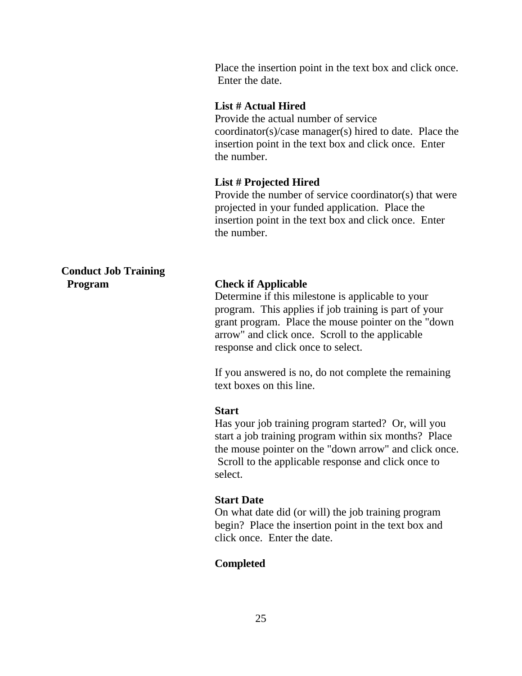Place the insertion point in the text box and click once. Enter the date.

### **List # Actual Hired**

Provide the actual number of service coordinator(s)/case manager(s) hired to date. Place the insertion point in the text box and click once. Enter the number.

### **List # Projected Hired**

Provide the number of service coordinator(s) that were projected in your funded application. Place the insertion point in the text box and click once. Enter the number.

### **Conduct Job Training Program Check if Applicable**

Determine if this milestone is applicable to your program. This applies if job training is part of your grant program. Place the mouse pointer on the "down arrow" and click once. Scroll to the applicable response and click once to select.

If you answered is no, do not complete the remaining text boxes on this line.

### **Start**

Has your job training program started? Or, will you start a job training program within six months? Place the mouse pointer on the "down arrow" and click once. Scroll to the applicable response and click once to select.

### **Start Date**

On what date did (or will) the job training program begin? Place the insertion point in the text box and click once. Enter the date.

### **Completed**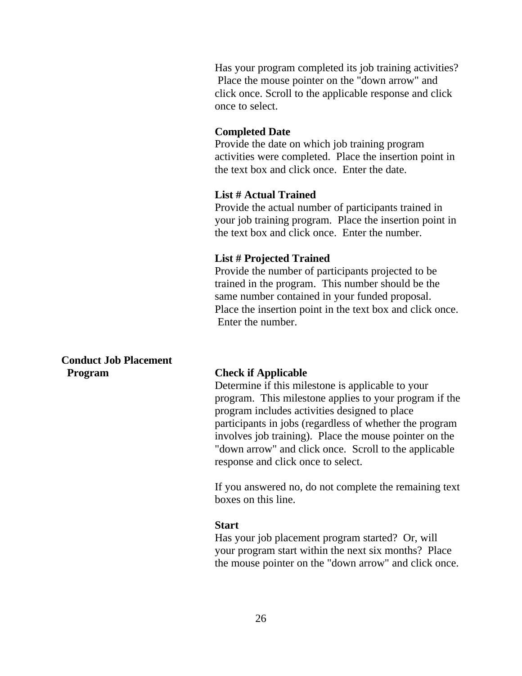Has your program completed its job training activities? Place the mouse pointer on the "down arrow" and click once. Scroll to the applicable response and click once to select.

### **Completed Date**

Provide the date on which job training program activities were completed. Place the insertion point in the text box and click once. Enter the date.

### **List # Actual Trained**

Provide the actual number of participants trained in your job training program. Place the insertion point in the text box and click once. Enter the number.

### **List # Projected Trained**

Provide the number of participants projected to be trained in the program. This number should be the same number contained in your funded proposal. Place the insertion point in the text box and click once. Enter the number.

**Conduct Job Placement Program Check if Applicable**

Determine if this milestone is applicable to your program. This milestone applies to your program if the program includes activities designed to place participants in jobs (regardless of whether the program involves job training). Place the mouse pointer on the "down arrow" and click once. Scroll to the applicable response and click once to select.

If you answered no, do not complete the remaining text boxes on this line.

### **Start**

Has your job placement program started? Or, will your program start within the next six months? Place the mouse pointer on the "down arrow" and click once.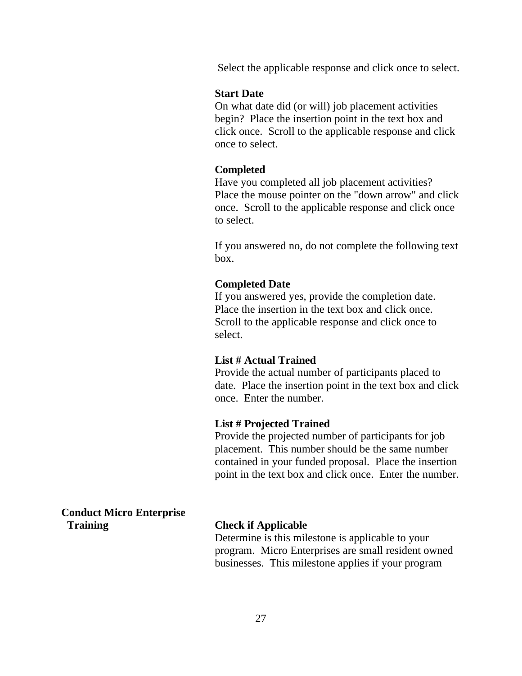Select the applicable response and click once to select.

### **Start Date**

On what date did (or will) job placement activities begin? Place the insertion point in the text box and click once. Scroll to the applicable response and click once to select.

### **Completed**

Have you completed all job placement activities? Place the mouse pointer on the "down arrow" and click once. Scroll to the applicable response and click once to select.

If you answered no, do not complete the following text box.

### **Completed Date**

If you answered yes, provide the completion date. Place the insertion in the text box and click once. Scroll to the applicable response and click once to select.

### **List # Actual Trained**

Provide the actual number of participants placed to date. Place the insertion point in the text box and click once. Enter the number.

### **List # Projected Trained**

Provide the projected number of participants for job placement. This number should be the same number contained in your funded proposal. Place the insertion point in the text box and click once. Enter the number.

**Conduct Micro Enterprise Training Check if Applicable**

Determine is this milestone is applicable to your program. Micro Enterprises are small resident owned businesses. This milestone applies if your program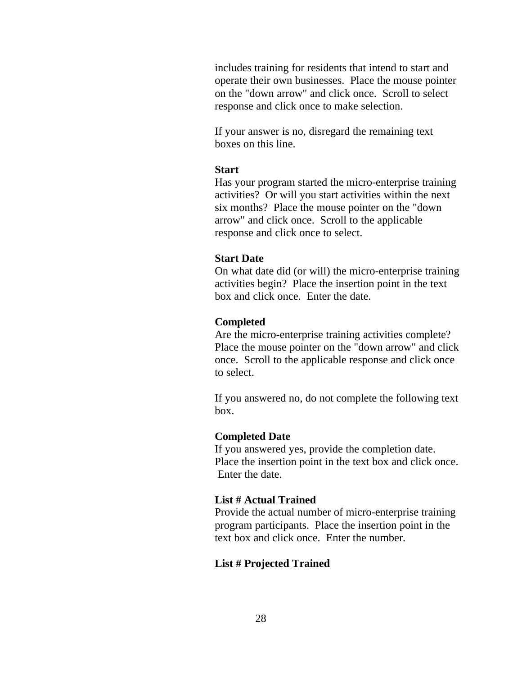includes training for residents that intend to start and operate their own businesses. Place the mouse pointer on the "down arrow" and click once. Scroll to select response and click once to make selection.

If your answer is no, disregard the remaining text boxes on this line.

### **Start**

Has your program started the micro-enterprise training activities? Or will you start activities within the next six months? Place the mouse pointer on the "down arrow" and click once. Scroll to the applicable response and click once to select.

### **Start Date**

On what date did (or will) the micro-enterprise training activities begin? Place the insertion point in the text box and click once. Enter the date.

### **Completed**

Are the micro-enterprise training activities complete? Place the mouse pointer on the "down arrow" and click once. Scroll to the applicable response and click once to select.

If you answered no, do not complete the following text box.

### **Completed Date**

If you answered yes, provide the completion date. Place the insertion point in the text box and click once. Enter the date.

### **List # Actual Trained**

Provide the actual number of micro-enterprise training program participants. Place the insertion point in the text box and click once. Enter the number.

### **List # Projected Trained**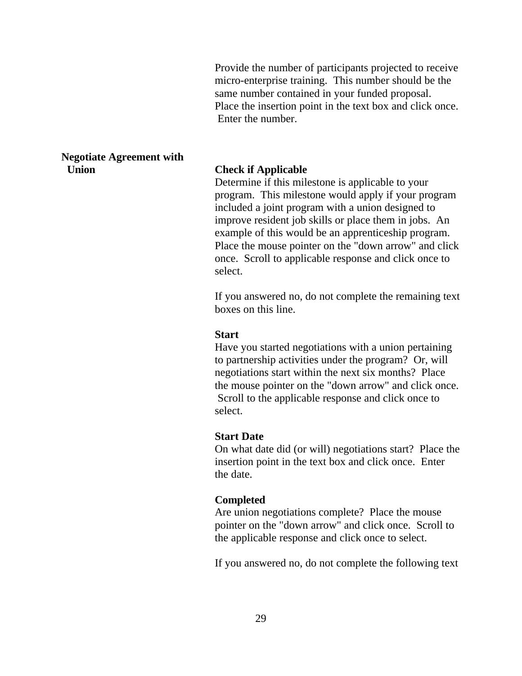Provide the number of participants projected to receive micro-enterprise training. This number should be the same number contained in your funded proposal. Place the insertion point in the text box and click once. Enter the number.

### **Negotiate Agreement with Union Check if Applicable**

Determine if this milestone is applicable to your program. This milestone would apply if your program included a joint program with a union designed to improve resident job skills or place them in jobs. An example of this would be an apprenticeship program. Place the mouse pointer on the "down arrow" and click once. Scroll to applicable response and click once to select.

If you answered no, do not complete the remaining text boxes on this line.

### **Start**

Have you started negotiations with a union pertaining to partnership activities under the program? Or, will negotiations start within the next six months? Place the mouse pointer on the "down arrow" and click once. Scroll to the applicable response and click once to select.

### **Start Date**

On what date did (or will) negotiations start? Place the insertion point in the text box and click once. Enter the date.

### **Completed**

Are union negotiations complete? Place the mouse pointer on the "down arrow" and click once. Scroll to the applicable response and click once to select.

If you answered no, do not complete the following text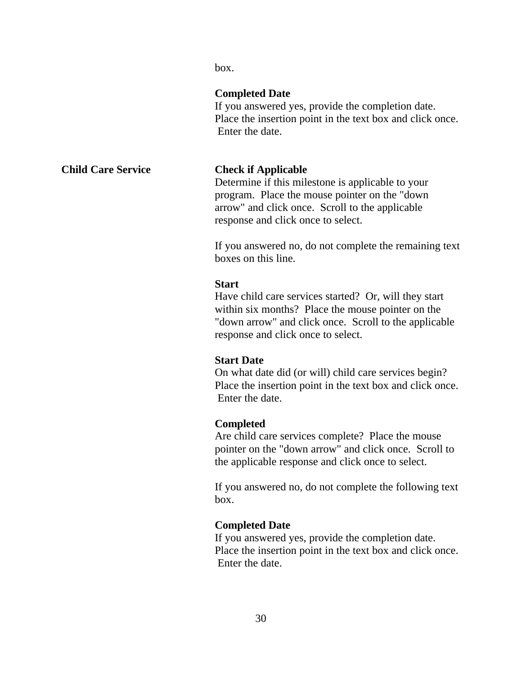box.

# **Completed Date**

If you answered yes, provide the completion date. Place the insertion point in the text box and click once. Enter the date.

# **Child Care Service Check if Applicable**

Determine if this milestone is applicable to your program. Place the mouse pointer on the "down arrow" and click once. Scroll to the applicable response and click once to select.

If you answered no, do not complete the remaining text boxes on this line.

### **Start**

Have child care services started? Or, will they start within six months? Place the mouse pointer on the "down arrow" and click once. Scroll to the applicable response and click once to select.

### **Start Date**

On what date did (or will) child care services begin? Place the insertion point in the text box and click once. Enter the date.

### **Completed**

Are child care services complete? Place the mouse pointer on the "down arrow" and click once. Scroll to the applicable response and click once to select.

If you answered no, do not complete the following text box.

### **Completed Date**

If you answered yes, provide the completion date. Place the insertion point in the text box and click once. Enter the date.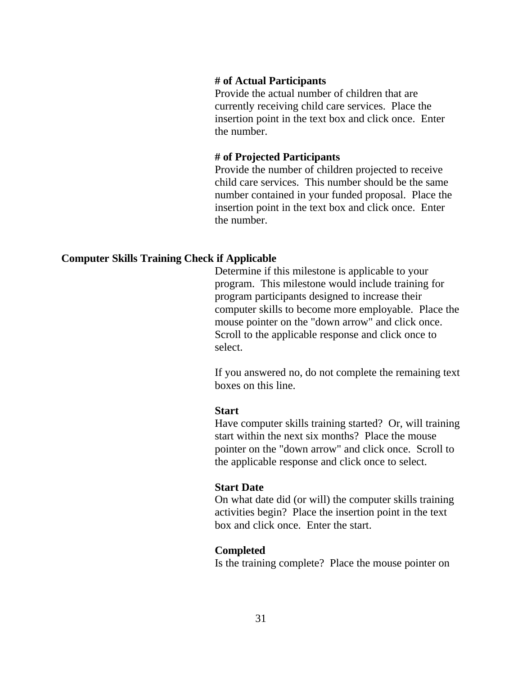### **# of Actual Participants**

Provide the actual number of children that are currently receiving child care services. Place the insertion point in the text box and click once. Enter the number.

### **# of Projected Participants**

Provide the number of children projected to receive child care services. This number should be the same number contained in your funded proposal. Place the insertion point in the text box and click once. Enter the number.

### **Computer Skills Training Check if Applicable**

Determine if this milestone is applicable to your program. This milestone would include training for program participants designed to increase their computer skills to become more employable. Place the mouse pointer on the "down arrow" and click once. Scroll to the applicable response and click once to select.

If you answered no, do not complete the remaining text boxes on this line.

### **Start**

Have computer skills training started? Or, will training start within the next six months? Place the mouse pointer on the "down arrow" and click once. Scroll to the applicable response and click once to select.

### **Start Date**

On what date did (or will) the computer skills training activities begin? Place the insertion point in the text box and click once. Enter the start.

### **Completed**

Is the training complete? Place the mouse pointer on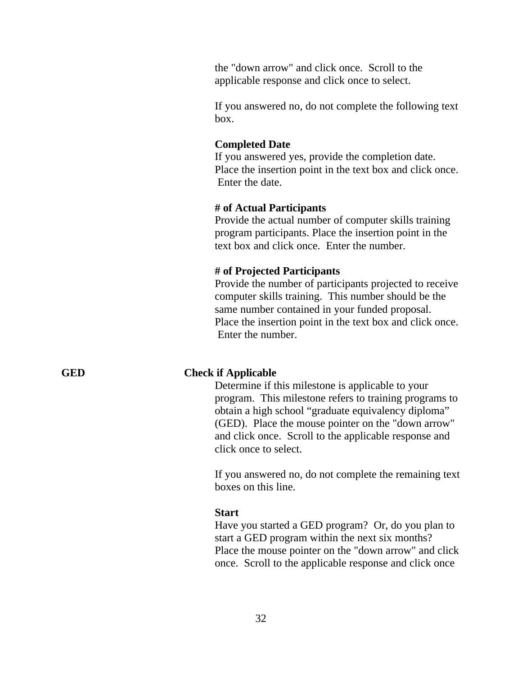the "down arrow" and click once. Scroll to the applicable response and click once to select.

If you answered no, do not complete the following text box.

### **Completed Date**

If you answered yes, provide the completion date. Place the insertion point in the text box and click once. Enter the date.

### **# of Actual Participants**

Provide the actual number of computer skills training program participants. Place the insertion point in the text box and click once. Enter the number.

### **# of Projected Participants**

Provide the number of participants projected to receive computer skills training. This number should be the same number contained in your funded proposal. Place the insertion point in the text box and click once. Enter the number.

### **GED Check if Applicable**

Determine if this milestone is applicable to your program. This milestone refers to training programs to obtain a high school "graduate equivalency diploma" (GED). Place the mouse pointer on the "down arrow" and click once. Scroll to the applicable response and click once to select.

If you answered no, do not complete the remaining text boxes on this line.

### **Start**

Have you started a GED program? Or, do you plan to start a GED program within the next six months? Place the mouse pointer on the "down arrow" and click once. Scroll to the applicable response and click once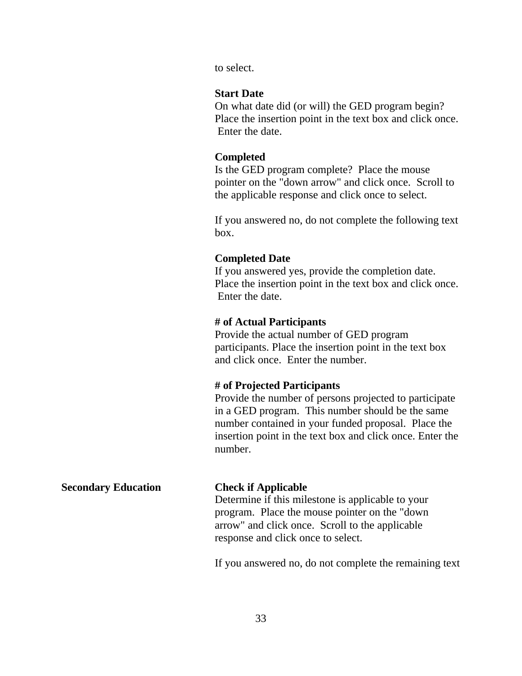to select.

### **Start Date**

On what date did (or will) the GED program begin? Place the insertion point in the text box and click once. Enter the date.

### **Completed**

Is the GED program complete? Place the mouse pointer on the "down arrow" and click once. Scroll to the applicable response and click once to select.

If you answered no, do not complete the following text box.

### **Completed Date**

If you answered yes, provide the completion date. Place the insertion point in the text box and click once. Enter the date.

### **# of Actual Participants**

Provide the actual number of GED program participants. Place the insertion point in the text box and click once. Enter the number.

### **# of Projected Participants**

Provide the number of persons projected to participate in a GED program. This number should be the same number contained in your funded proposal. Place the insertion point in the text box and click once. Enter the number.

# **Secondary Education Check if Applicable** Determine if this milestone is applicable to your program. Place the mouse pointer on the "down arrow" and click once. Scroll to the applicable response and click once to select.

If you answered no, do not complete the remaining text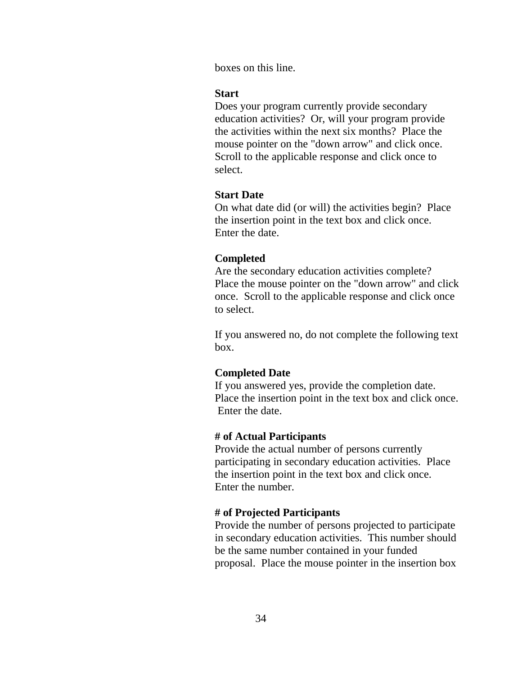boxes on this line.

### **Start**

Does your program currently provide secondary education activities? Or, will your program provide the activities within the next six months? Place the mouse pointer on the "down arrow" and click once. Scroll to the applicable response and click once to select.

### **Start Date**

On what date did (or will) the activities begin? Place the insertion point in the text box and click once. Enter the date.

### **Completed**

Are the secondary education activities complete? Place the mouse pointer on the "down arrow" and click once. Scroll to the applicable response and click once to select.

If you answered no, do not complete the following text box.

### **Completed Date**

If you answered yes, provide the completion date. Place the insertion point in the text box and click once. Enter the date.

### **# of Actual Participants**

Provide the actual number of persons currently participating in secondary education activities. Place the insertion point in the text box and click once. Enter the number.

### **# of Projected Participants**

Provide the number of persons projected to participate in secondary education activities. This number should be the same number contained in your funded proposal. Place the mouse pointer in the insertion box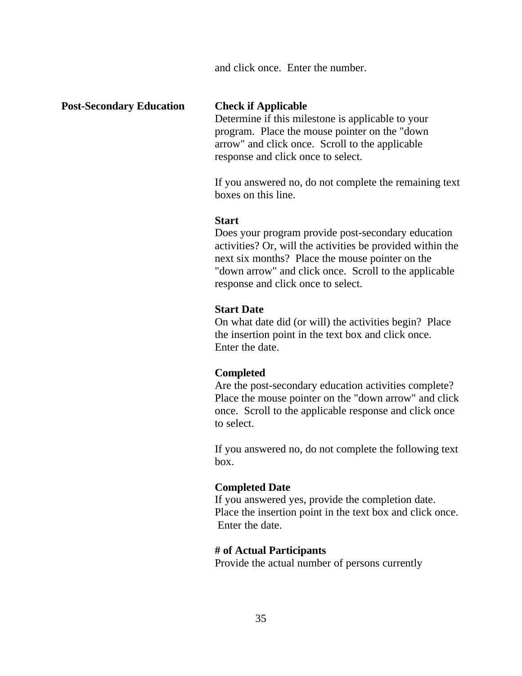and click once. Enter the number.

### **Post-Secondary Education Check if Applicable**

Determine if this milestone is applicable to your program. Place the mouse pointer on the "down arrow" and click once. Scroll to the applicable response and click once to select.

If you answered no, do not complete the remaining text boxes on this line.

### **Start**

Does your program provide post-secondary education activities? Or, will the activities be provided within the next six months? Place the mouse pointer on the "down arrow" and click once. Scroll to the applicable response and click once to select.

### **Start Date**

On what date did (or will) the activities begin? Place the insertion point in the text box and click once. Enter the date.

### **Completed**

Are the post-secondary education activities complete? Place the mouse pointer on the "down arrow" and click once. Scroll to the applicable response and click once to select.

If you answered no, do not complete the following text box.

### **Completed Date**

If you answered yes, provide the completion date. Place the insertion point in the text box and click once. Enter the date.

### **# of Actual Participants**

Provide the actual number of persons currently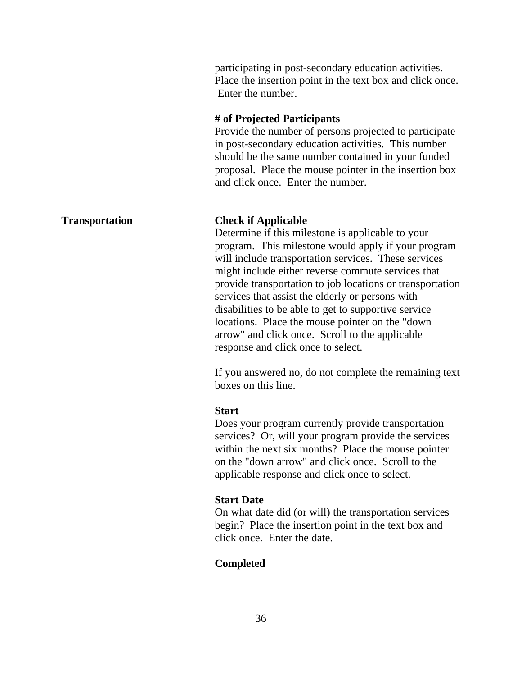participating in post-secondary education activities. Place the insertion point in the text box and click once. Enter the number.

### **# of Projected Participants**

Provide the number of persons projected to participate in post-secondary education activities. This number should be the same number contained in your funded proposal. Place the mouse pointer in the insertion box and click once. Enter the number.

### **Transportation Check if Applicable**

Determine if this milestone is applicable to your program. This milestone would apply if your program will include transportation services. These services might include either reverse commute services that provide transportation to job locations or transportation services that assist the elderly or persons with disabilities to be able to get to supportive service locations. Place the mouse pointer on the "down arrow" and click once. Scroll to the applicable response and click once to select.

If you answered no, do not complete the remaining text boxes on this line.

### **Start**

Does your program currently provide transportation services? Or, will your program provide the services within the next six months? Place the mouse pointer on the "down arrow" and click once. Scroll to the applicable response and click once to select.

### **Start Date**

On what date did (or will) the transportation services begin? Place the insertion point in the text box and click once. Enter the date.

### **Completed**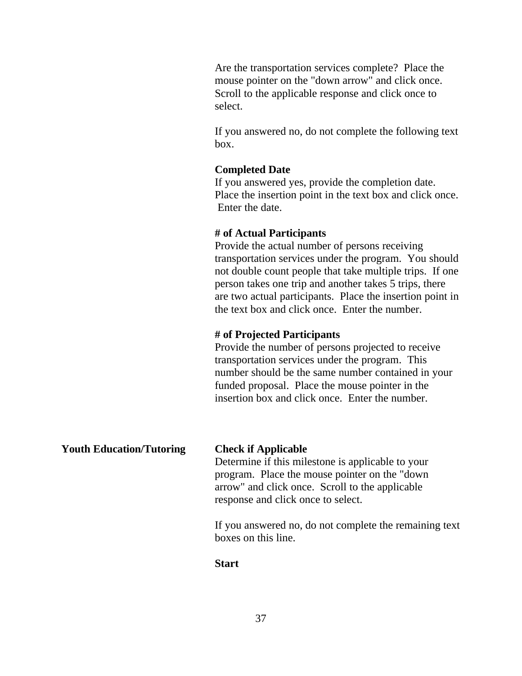Are the transportation services complete? Place the mouse pointer on the "down arrow" and click once. Scroll to the applicable response and click once to select.

If you answered no, do not complete the following text box.

### **Completed Date**

If you answered yes, provide the completion date. Place the insertion point in the text box and click once. Enter the date.

### **# of Actual Participants**

Provide the actual number of persons receiving transportation services under the program. You should not double count people that take multiple trips. If one person takes one trip and another takes 5 trips, there are two actual participants. Place the insertion point in the text box and click once. Enter the number.

### **# of Projected Participants**

Provide the number of persons projected to receive transportation services under the program. This number should be the same number contained in your funded proposal. Place the mouse pointer in the insertion box and click once. Enter the number.

**Youth Education/Tutoring Check if Applicable**

Determine if this milestone is applicable to your program. Place the mouse pointer on the "down arrow" and click once. Scroll to the applicable response and click once to select.

If you answered no, do not complete the remaining text boxes on this line.

### **Start**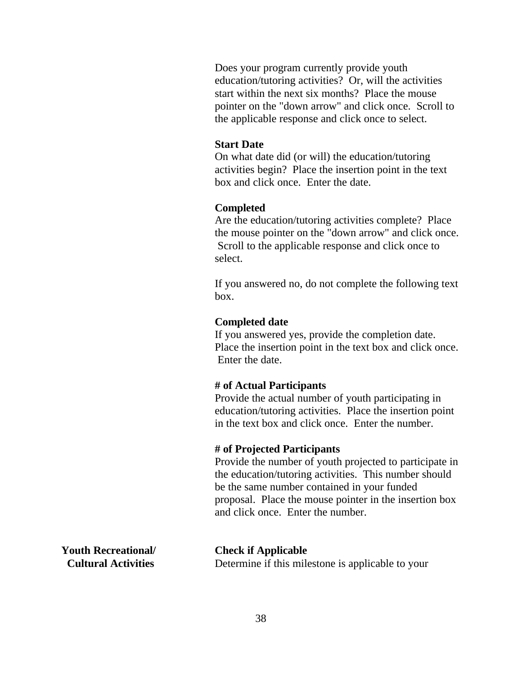Does your program currently provide youth education/tutoring activities? Or, will the activities start within the next six months? Place the mouse pointer on the "down arrow" and click once. Scroll to the applicable response and click once to select.

### **Start Date**

On what date did (or will) the education/tutoring activities begin? Place the insertion point in the text box and click once. Enter the date.

### **Completed**

Are the education/tutoring activities complete? Place the mouse pointer on the "down arrow" and click once. Scroll to the applicable response and click once to select.

If you answered no, do not complete the following text box.

### **Completed date**

If you answered yes, provide the completion date. Place the insertion point in the text box and click once. Enter the date.

### **# of Actual Participants**

Provide the actual number of youth participating in education/tutoring activities. Place the insertion point in the text box and click once. Enter the number.

### **# of Projected Participants**

Provide the number of youth projected to participate in the education/tutoring activities. This number should be the same number contained in your funded proposal. Place the mouse pointer in the insertion box and click once. Enter the number.

**Youth Recreational/ Check if Applicable**

**Cultural Activities** Determine if this milestone is applicable to your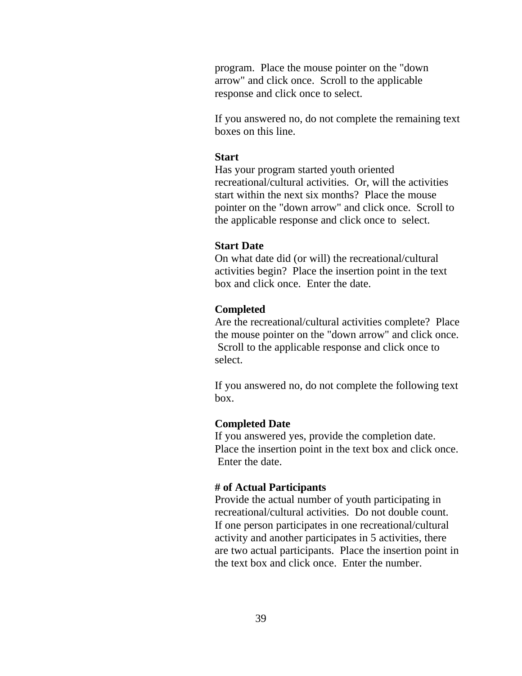program. Place the mouse pointer on the "down arrow" and click once. Scroll to the applicable response and click once to select.

If you answered no, do not complete the remaining text boxes on this line.

### **Start**

Has your program started youth oriented recreational/cultural activities. Or, will the activities start within the next six months? Place the mouse pointer on the "down arrow" and click once. Scroll to the applicable response and click once to select.

### **Start Date**

On what date did (or will) the recreational/cultural activities begin? Place the insertion point in the text box and click once. Enter the date.

### **Completed**

Are the recreational/cultural activities complete? Place the mouse pointer on the "down arrow" and click once. Scroll to the applicable response and click once to select.

If you answered no, do not complete the following text box.

### **Completed Date**

If you answered yes, provide the completion date. Place the insertion point in the text box and click once. Enter the date.

### **# of Actual Participants**

Provide the actual number of youth participating in recreational/cultural activities. Do not double count. If one person participates in one recreational/cultural activity and another participates in 5 activities, there are two actual participants. Place the insertion point in the text box and click once. Enter the number.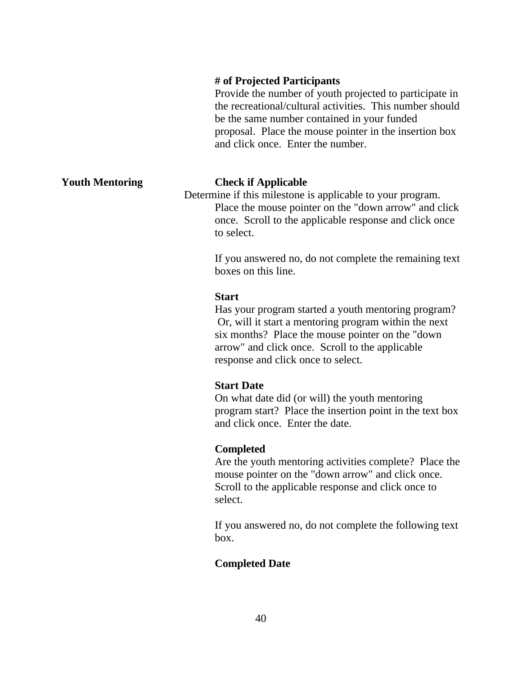### **# of Projected Participants**

Provide the number of youth projected to participate in the recreational/cultural activities. This number should be the same number contained in your funded proposal. Place the mouse pointer in the insertion box and click once. Enter the number.

### **Youth Mentoring Check if Applicable**

 Determine if this milestone is applicable to your program. Place the mouse pointer on the "down arrow" and click once. Scroll to the applicable response and click once to select.

> If you answered no, do not complete the remaining text boxes on this line.

### **Start**

Has your program started a youth mentoring program? Or, will it start a mentoring program within the next six months? Place the mouse pointer on the "down arrow" and click once. Scroll to the applicable response and click once to select.

### **Start Date**

On what date did (or will) the youth mentoring program start? Place the insertion point in the text box and click once. Enter the date.

### **Completed**

Are the youth mentoring activities complete? Place the mouse pointer on the "down arrow" and click once. Scroll to the applicable response and click once to select.

If you answered no, do not complete the following text box.

### **Completed Date**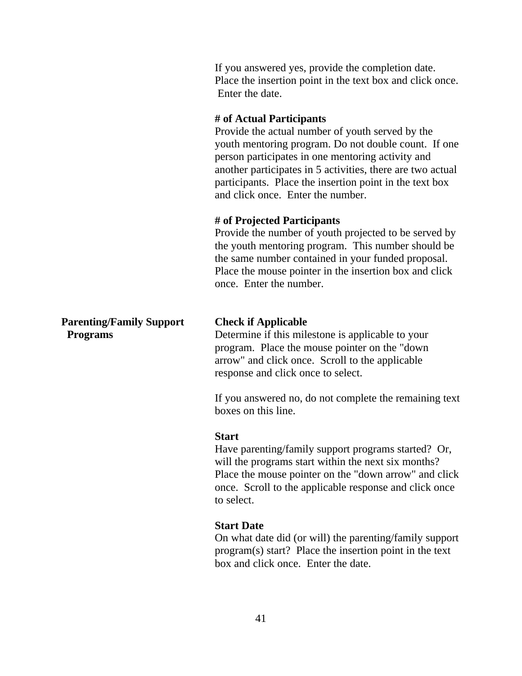If you answered yes, provide the completion date. Place the insertion point in the text box and click once. Enter the date.

### **# of Actual Participants**

Provide the actual number of youth served by the youth mentoring program. Do not double count. If one person participates in one mentoring activity and another participates in 5 activities, there are two actual participants. Place the insertion point in the text box and click once. Enter the number.

### **# of Projected Participants**

Provide the number of youth projected to be served by the youth mentoring program. This number should be the same number contained in your funded proposal. Place the mouse pointer in the insertion box and click once. Enter the number.

# **Parenting/Family Support Check if Applicable**

**Programs** Determine if this milestone is applicable to your program. Place the mouse pointer on the "down arrow" and click once. Scroll to the applicable response and click once to select.

> If you answered no, do not complete the remaining text boxes on this line.

### **Start**

Have parenting/family support programs started? Or, will the programs start within the next six months? Place the mouse pointer on the "down arrow" and click once. Scroll to the applicable response and click once to select.

### **Start Date**

On what date did (or will) the parenting/family support program(s) start? Place the insertion point in the text box and click once. Enter the date.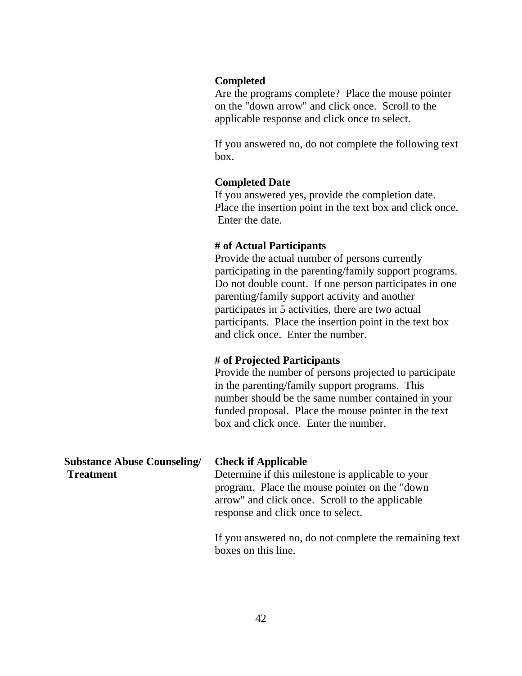### **Completed**

Are the programs complete? Place the mouse pointer on the "down arrow" and click once. Scroll to the applicable response and click once to select.

If you answered no, do not complete the following text box.

### **Completed Date**

If you answered yes, provide the completion date. Place the insertion point in the text box and click once. Enter the date.

### **# of Actual Participants**

Provide the actual number of persons currently participating in the parenting/family support programs. Do not double count. If one person participates in one parenting/family support activity and another participates in 5 activities, there are two actual participants. Place the insertion point in the text box and click once. Enter the number.

### **# of Projected Participants**

Provide the number of persons projected to participate in the parenting/family support programs. This number should be the same number contained in your funded proposal. Place the mouse pointer in the text box and click once. Enter the number.

| <b>Substance Abuse Counseling/</b><br><b>Treatment</b> | <b>Check if Applicable</b><br>Determine if this milestone is applicable to your<br>program. Place the mouse pointer on the "down"<br>arrow" and click once. Scroll to the applicable |
|--------------------------------------------------------|--------------------------------------------------------------------------------------------------------------------------------------------------------------------------------------|
|                                                        | response and click once to select.                                                                                                                                                   |
|                                                        | If you encycled no do not complete the remaining to                                                                                                                                  |

If you answered no, do not complete the remaining text boxes on this line.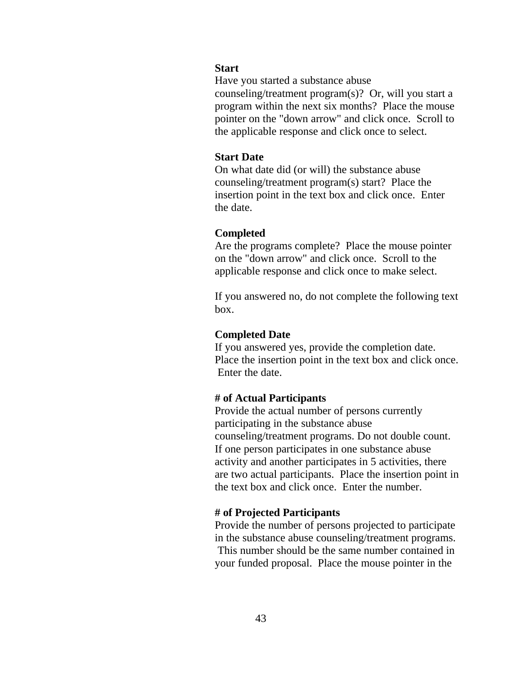### **Start**

Have you started a substance abuse

counseling/treatment program(s)? Or, will you start a program within the next six months? Place the mouse pointer on the "down arrow" and click once. Scroll to the applicable response and click once to select.

### **Start Date**

On what date did (or will) the substance abuse counseling/treatment program(s) start? Place the insertion point in the text box and click once. Enter the date.

### **Completed**

Are the programs complete? Place the mouse pointer on the "down arrow" and click once. Scroll to the applicable response and click once to make select.

If you answered no, do not complete the following text box.

### **Completed Date**

If you answered yes, provide the completion date. Place the insertion point in the text box and click once. Enter the date.

### **# of Actual Participants**

Provide the actual number of persons currently participating in the substance abuse counseling/treatment programs. Do not double count. If one person participates in one substance abuse activity and another participates in 5 activities, there are two actual participants. Place the insertion point in the text box and click once. Enter the number.

### **# of Projected Participants**

Provide the number of persons projected to participate in the substance abuse counseling/treatment programs. This number should be the same number contained in your funded proposal. Place the mouse pointer in the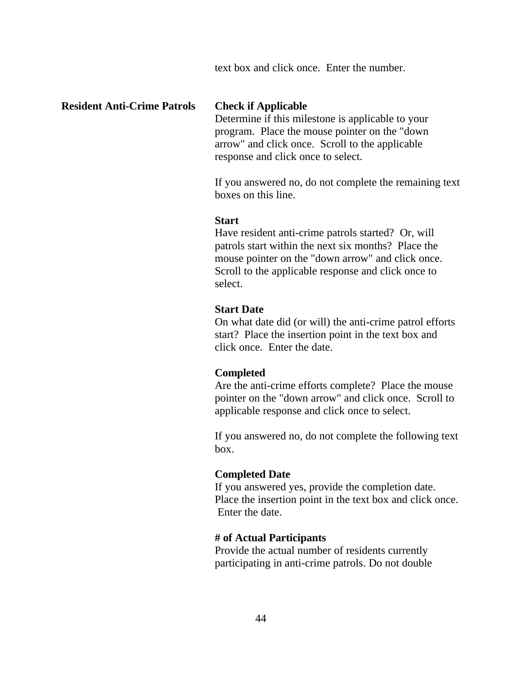text box and click once. Enter the number.

### **Resident Anti-Crime Patrols Check if Applicable**

 Determine if this milestone is applicable to your program. Place the mouse pointer on the "down arrow" and click once. Scroll to the applicable response and click once to select.

If you answered no, do not complete the remaining text boxes on this line.

### **Start**

Have resident anti-crime patrols started? Or, will patrols start within the next six months? Place the mouse pointer on the "down arrow" and click once. Scroll to the applicable response and click once to select.

### **Start Date**

On what date did (or will) the anti-crime patrol efforts start? Place the insertion point in the text box and click once. Enter the date.

### **Completed**

Are the anti-crime efforts complete? Place the mouse pointer on the "down arrow" and click once. Scroll to applicable response and click once to select.

If you answered no, do not complete the following text box.

### **Completed Date**

If you answered yes, provide the completion date. Place the insertion point in the text box and click once. Enter the date.

### **# of Actual Participants**

Provide the actual number of residents currently participating in anti-crime patrols. Do not double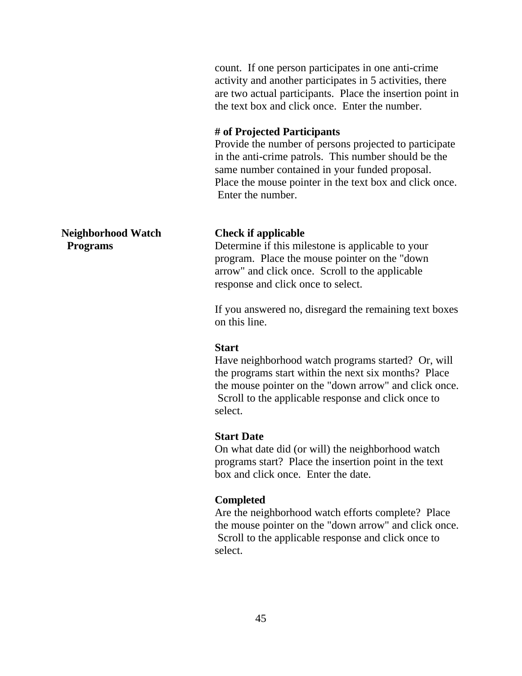count. If one person participates in one anti-crime activity and another participates in 5 activities, there are two actual participants. Place the insertion point in the text box and click once. Enter the number.

### **# of Projected Participants**

Provide the number of persons projected to participate in the anti-crime patrols. This number should be the same number contained in your funded proposal. Place the mouse pointer in the text box and click once. Enter the number.

**Programs** Determine if this milestone is applicable to your program. Place the mouse pointer on the "down arrow" and click once. Scroll to the applicable response and click once to select.

> If you answered no, disregard the remaining text boxes on this line.

### **Start**

Have neighborhood watch programs started? Or, will the programs start within the next six months? Place the mouse pointer on the "down arrow" and click once. Scroll to the applicable response and click once to select.

### **Start Date**

On what date did (or will) the neighborhood watch programs start? Place the insertion point in the text box and click once. Enter the date.

### **Completed**

Are the neighborhood watch efforts complete? Place the mouse pointer on the "down arrow" and click once. Scroll to the applicable response and click once to select.

**Neighborhood Watch Check if applicable**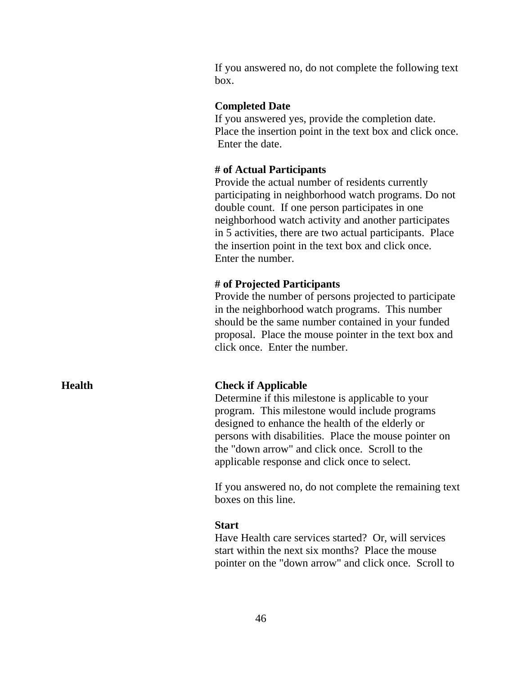If you answered no, do not complete the following text box.

### **Completed Date**

If you answered yes, provide the completion date. Place the insertion point in the text box and click once. Enter the date.

### **# of Actual Participants**

Provide the actual number of residents currently participating in neighborhood watch programs. Do not double count. If one person participates in one neighborhood watch activity and another participates in 5 activities, there are two actual participants. Place the insertion point in the text box and click once. Enter the number.

### **# of Projected Participants**

Provide the number of persons projected to participate in the neighborhood watch programs. This number should be the same number contained in your funded proposal. Place the mouse pointer in the text box and click once. Enter the number.

### **Health Check if Applicable**

Determine if this milestone is applicable to your program. This milestone would include programs designed to enhance the health of the elderly or persons with disabilities. Place the mouse pointer on the "down arrow" and click once. Scroll to the applicable response and click once to select.

If you answered no, do not complete the remaining text boxes on this line.

### **Start**

Have Health care services started? Or, will services start within the next six months? Place the mouse pointer on the "down arrow" and click once. Scroll to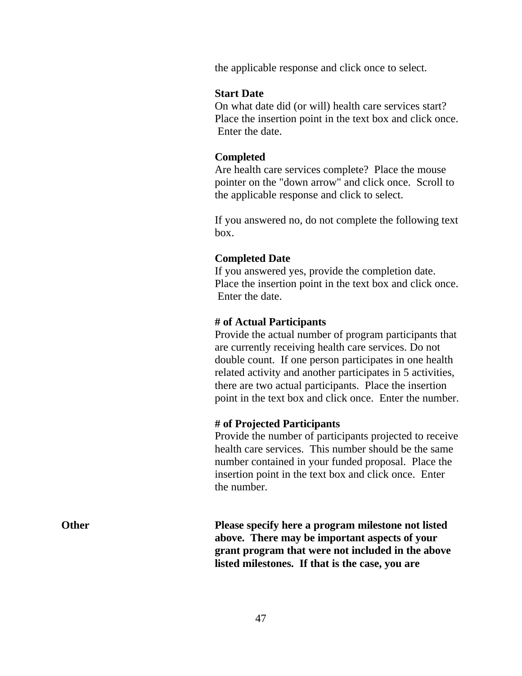the applicable response and click once to select.

### **Start Date**

On what date did (or will) health care services start? Place the insertion point in the text box and click once. Enter the date.

### **Completed**

Are health care services complete? Place the mouse pointer on the "down arrow" and click once. Scroll to the applicable response and click to select.

If you answered no, do not complete the following text box.

### **Completed Date**

If you answered yes, provide the completion date. Place the insertion point in the text box and click once. Enter the date.

### **# of Actual Participants**

Provide the actual number of program participants that are currently receiving health care services. Do not double count. If one person participates in one health related activity and another participates in 5 activities, there are two actual participants. Place the insertion point in the text box and click once. Enter the number.

### **# of Projected Participants**

Provide the number of participants projected to receive health care services. This number should be the same number contained in your funded proposal. Place the insertion point in the text box and click once. Enter the number.

**Other** Please specify here a program milestone not listed **above. There may be important aspects of your grant program that were not included in the above listed milestones. If that is the case, you are**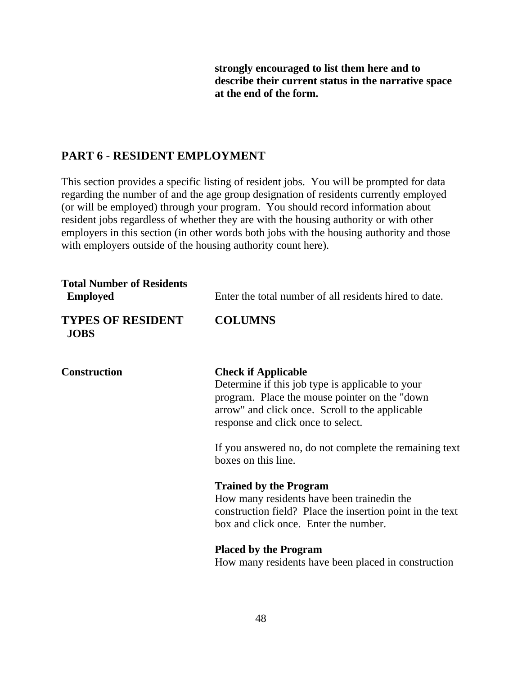**strongly encouraged to list them here and to describe their current status in the narrative space at the end of the form.**

# **PART 6 - RESIDENT EMPLOYMENT**

This section provides a specific listing of resident jobs. You will be prompted for data regarding the number of and the age group designation of residents currently employed (or will be employed) through your program. You should record information about resident jobs regardless of whether they are with the housing authority or with other employers in this section (in other words both jobs with the housing authority and those with employers outside of the housing authority count here).

| <b>Total Number of Residents</b><br><b>Employed</b> | Enter the total number of all residents hired to date.                                                                                                                                                                                                                                                     |
|-----------------------------------------------------|------------------------------------------------------------------------------------------------------------------------------------------------------------------------------------------------------------------------------------------------------------------------------------------------------------|
| <b>TYPES OF RESIDENT</b><br><b>JOBS</b>             | <b>COLUMNS</b>                                                                                                                                                                                                                                                                                             |
| <b>Construction</b>                                 | <b>Check if Applicable</b><br>Determine if this job type is applicable to your<br>program. Place the mouse pointer on the "down"<br>arrow" and click once. Scroll to the applicable<br>response and click once to select.<br>If you answered no, do not complete the remaining text<br>boxes on this line. |
|                                                     | <b>Trained by the Program</b><br>How many residents have been trained in the<br>construction field? Place the insertion point in the text<br>box and click once. Enter the number.                                                                                                                         |
|                                                     | <b>Placed by the Program</b><br>How many residents have been placed in construction                                                                                                                                                                                                                        |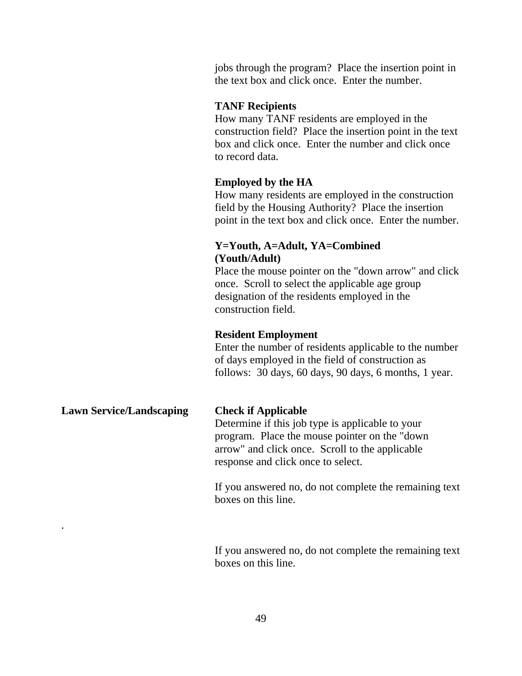jobs through the program? Place the insertion point in the text box and click once. Enter the number.

### **TANF Recipients**

How many TANF residents are employed in the construction field? Place the insertion point in the text box and click once. Enter the number and click once to record data.

### **Employed by the HA**

How many residents are employed in the construction field by the Housing Authority? Place the insertion point in the text box and click once. Enter the number.

### **Y=Youth, A=Adult, YA=Combined (Youth/Adult)**

Place the mouse pointer on the "down arrow" and click once. Scroll to select the applicable age group designation of the residents employed in the construction field.

### **Resident Employment**

Enter the number of residents applicable to the number of days employed in the field of construction as follows: 30 days, 60 days, 90 days, 6 months, 1 year.

# **Lawn Service/Landscaping Check if Applicable** Determine if this job type is applicable to your program. Place the mouse pointer on the "down arrow" and click once. Scroll to the applicable response and click once to select.

.

If you answered no, do not complete the remaining text boxes on this line.

If you answered no, do not complete the remaining text boxes on this line.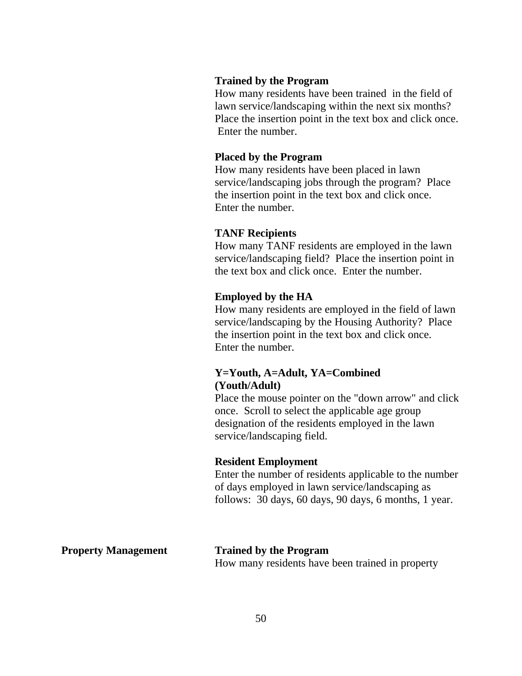### **Trained by the Program**

How many residents have been trained in the field of lawn service/landscaping within the next six months? Place the insertion point in the text box and click once. Enter the number.

### **Placed by the Program**

How many residents have been placed in lawn service/landscaping jobs through the program? Place the insertion point in the text box and click once. Enter the number.

### **TANF Recipients**

How many TANF residents are employed in the lawn service/landscaping field? Place the insertion point in the text box and click once. Enter the number.

### **Employed by the HA**

How many residents are employed in the field of lawn service/landscaping by the Housing Authority? Place the insertion point in the text box and click once. Enter the number.

### **Y=Youth, A=Adult, YA=Combined (Youth/Adult)**

Place the mouse pointer on the "down arrow" and click once. Scroll to select the applicable age group designation of the residents employed in the lawn service/landscaping field.

### **Resident Employment**

Enter the number of residents applicable to the number of days employed in lawn service/landscaping as follows: 30 days, 60 days, 90 days, 6 months, 1 year.

**Property Management Trained by the Program** How many residents have been trained in property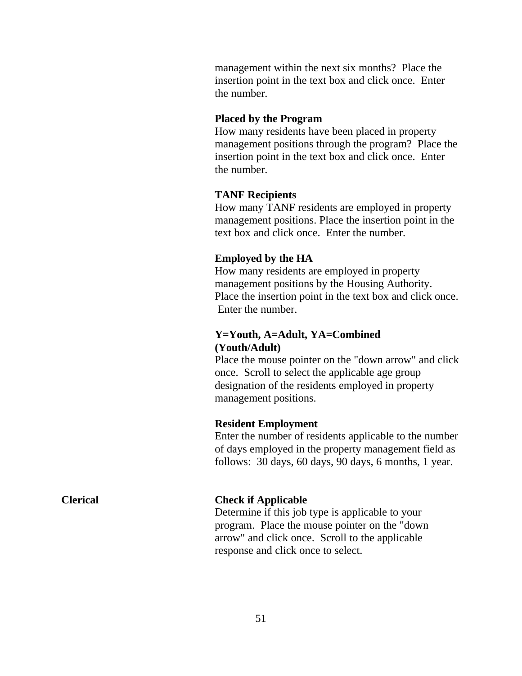management within the next six months? Place the insertion point in the text box and click once. Enter the number.

### **Placed by the Program**

How many residents have been placed in property management positions through the program? Place the insertion point in the text box and click once. Enter the number.

### **TANF Recipients**

How many TANF residents are employed in property management positions. Place the insertion point in the text box and click once. Enter the number.

### **Employed by the HA**

How many residents are employed in property management positions by the Housing Authority. Place the insertion point in the text box and click once. Enter the number.

### **Y=Youth, A=Adult, YA=Combined (Youth/Adult)**

Place the mouse pointer on the "down arrow" and click once. Scroll to select the applicable age group designation of the residents employed in property management positions.

### **Resident Employment**

Enter the number of residents applicable to the number of days employed in the property management field as follows: 30 days, 60 days, 90 days, 6 months, 1 year.

### **Clerical Check if Applicable**

Determine if this job type is applicable to your program. Place the mouse pointer on the "down arrow" and click once. Scroll to the applicable response and click once to select.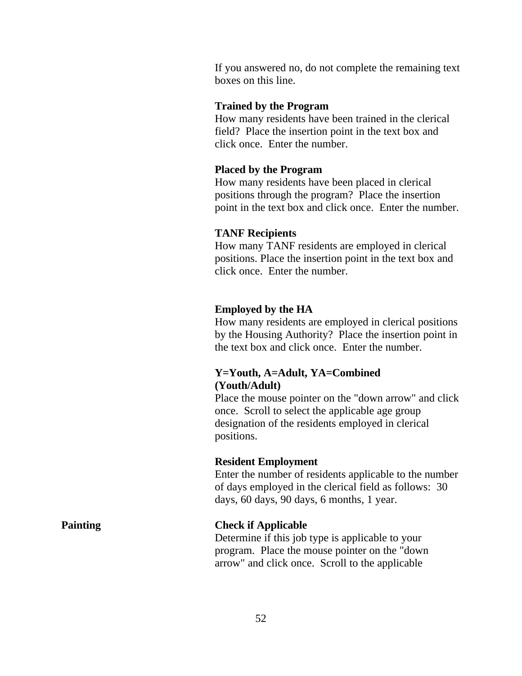If you answered no, do not complete the remaining text boxes on this line.

### **Trained by the Program**

How many residents have been trained in the clerical field? Place the insertion point in the text box and click once. Enter the number.

### **Placed by the Program**

How many residents have been placed in clerical positions through the program? Place the insertion point in the text box and click once. Enter the number.

### **TANF Recipients**

How many TANF residents are employed in clerical positions. Place the insertion point in the text box and click once. Enter the number.

### **Employed by the HA**

How many residents are employed in clerical positions by the Housing Authority? Place the insertion point in the text box and click once. Enter the number.

# **Y=Youth, A=Adult, YA=Combined (Youth/Adult)**

Place the mouse pointer on the "down arrow" and click once. Scroll to select the applicable age group designation of the residents employed in clerical positions.

### **Resident Employment**

Enter the number of residents applicable to the number of days employed in the clerical field as follows: 30 days, 60 days, 90 days, 6 months, 1 year.

### **Painting Check if Applicable**

Determine if this job type is applicable to your program. Place the mouse pointer on the "down arrow" and click once. Scroll to the applicable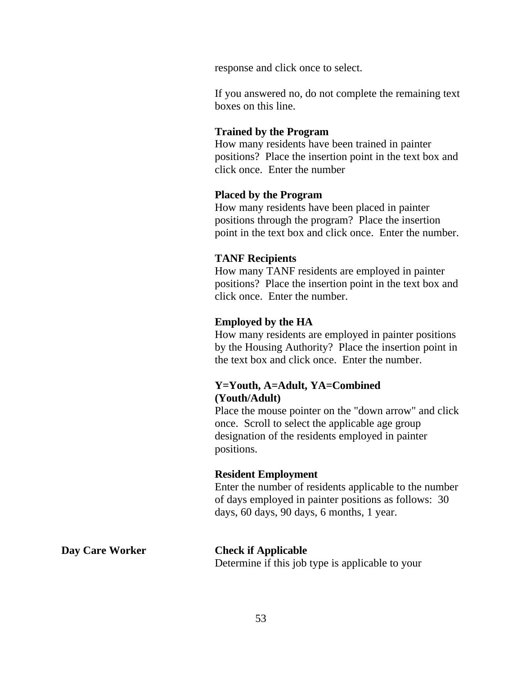response and click once to select.

If you answered no, do not complete the remaining text boxes on this line.

### **Trained by the Program**

How many residents have been trained in painter positions? Place the insertion point in the text box and click once. Enter the number

### **Placed by the Program**

How many residents have been placed in painter positions through the program? Place the insertion point in the text box and click once. Enter the number.

### **TANF Recipients**

How many TANF residents are employed in painter positions? Place the insertion point in the text box and click once. Enter the number.

### **Employed by the HA**

How many residents are employed in painter positions by the Housing Authority? Place the insertion point in the text box and click once. Enter the number.

# **Y=Youth, A=Adult, YA=Combined (Youth/Adult)**

Place the mouse pointer on the "down arrow" and click once. Scroll to select the applicable age group designation of the residents employed in painter positions.

### **Resident Employment**

Enter the number of residents applicable to the number of days employed in painter positions as follows: 30 days, 60 days, 90 days, 6 months, 1 year.

### **Day Care Worker Check if Applicable**

Determine if this job type is applicable to your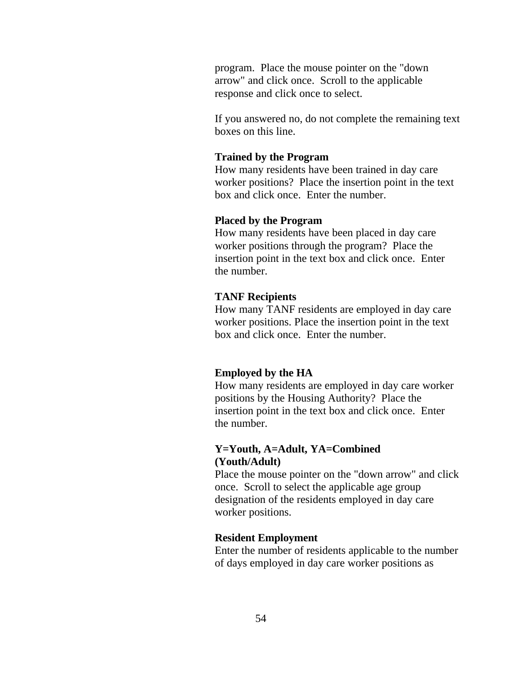program. Place the mouse pointer on the "down arrow" and click once. Scroll to the applicable response and click once to select.

If you answered no, do not complete the remaining text boxes on this line.

### **Trained by the Program**

How many residents have been trained in day care worker positions? Place the insertion point in the text box and click once. Enter the number.

### **Placed by the Program**

How many residents have been placed in day care worker positions through the program? Place the insertion point in the text box and click once. Enter the number.

### **TANF Recipients**

How many TANF residents are employed in day care worker positions. Place the insertion point in the text box and click once. Enter the number.

### **Employed by the HA**

How many residents are employed in day care worker positions by the Housing Authority? Place the insertion point in the text box and click once. Enter the number.

### **Y=Youth, A=Adult, YA=Combined (Youth/Adult)**

Place the mouse pointer on the "down arrow" and click once. Scroll to select the applicable age group designation of the residents employed in day care worker positions.

### **Resident Employment**

Enter the number of residents applicable to the number of days employed in day care worker positions as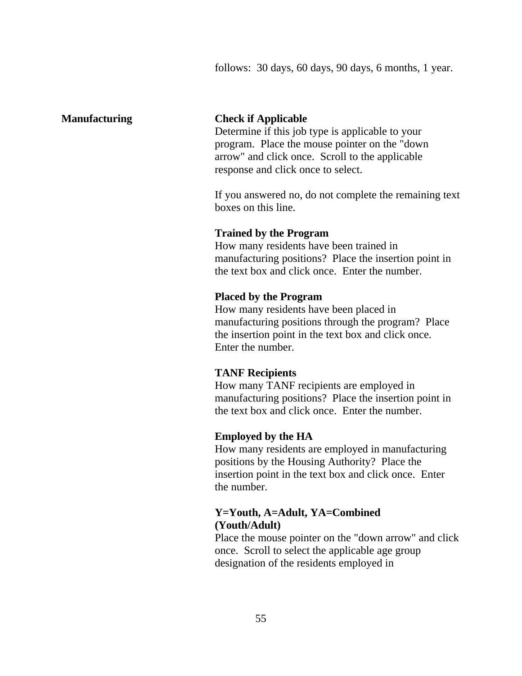follows: 30 days, 60 days, 90 days, 6 months, 1 year.

### **Manufacturing Check if Applicable**

Determine if this job type is applicable to your program. Place the mouse pointer on the "down arrow" and click once. Scroll to the applicable response and click once to select.

If you answered no, do not complete the remaining text boxes on this line.

### **Trained by the Program**

How many residents have been trained in manufacturing positions? Place the insertion point in the text box and click once. Enter the number.

### **Placed by the Program**

How many residents have been placed in manufacturing positions through the program? Place the insertion point in the text box and click once. Enter the number.

### **TANF Recipients**

How many TANF recipients are employed in manufacturing positions? Place the insertion point in the text box and click once. Enter the number.

### **Employed by the HA**

How many residents are employed in manufacturing positions by the Housing Authority? Place the insertion point in the text box and click once. Enter the number.

# **Y=Youth, A=Adult, YA=Combined (Youth/Adult)**

Place the mouse pointer on the "down arrow" and click once. Scroll to select the applicable age group designation of the residents employed in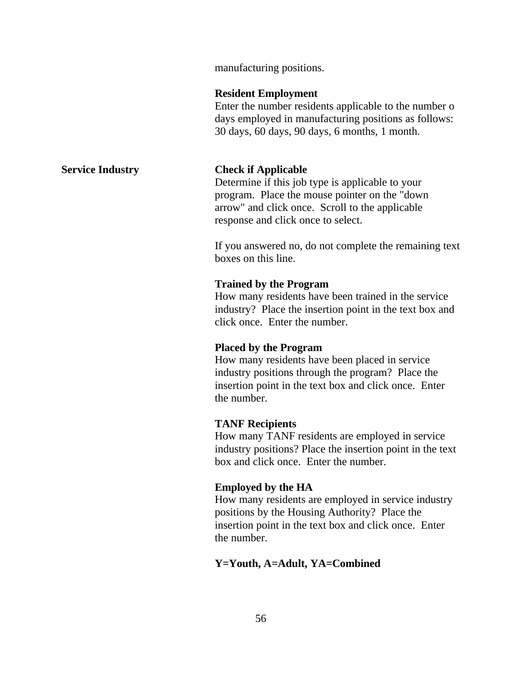manufacturing positions.

### **Resident Employment**

Enter the number residents applicable to the number o days employed in manufacturing positions as follows: 30 days, 60 days, 90 days, 6 months, 1 month.

### **Service Industry Check if Applicable**

Determine if this job type is applicable to your program. Place the mouse pointer on the "down arrow" and click once. Scroll to the applicable response and click once to select.

If you answered no, do not complete the remaining text boxes on this line.

### **Trained by the Program**

How many residents have been trained in the service industry? Place the insertion point in the text box and click once. Enter the number.

### **Placed by the Program**

How many residents have been placed in service industry positions through the program? Place the insertion point in the text box and click once. Enter the number.

### **TANF Recipients**

How many TANF residents are employed in service industry positions? Place the insertion point in the text box and click once. Enter the number.

### **Employed by the HA**

How many residents are employed in service industry positions by the Housing Authority? Place the insertion point in the text box and click once. Enter the number.

### **Y=Youth, A=Adult, YA=Combined**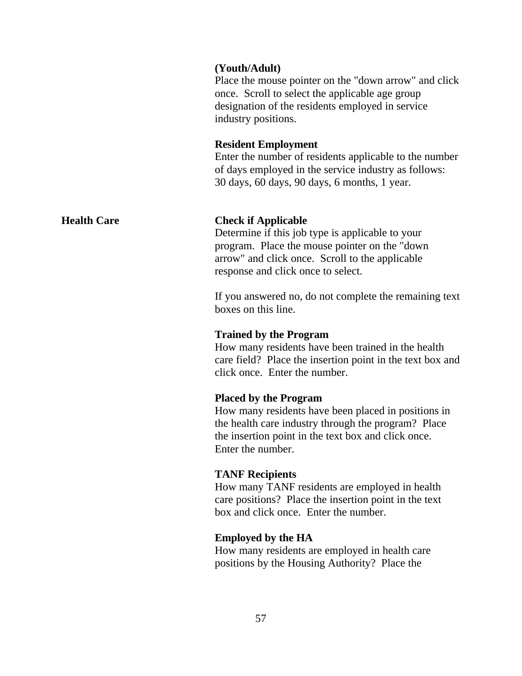### **(Youth/Adult)**

Place the mouse pointer on the "down arrow" and click once. Scroll to select the applicable age group designation of the residents employed in service industry positions.

### **Resident Employment**

Enter the number of residents applicable to the number of days employed in the service industry as follows: 30 days, 60 days, 90 days, 6 months, 1 year.

### **Health Care Check if Applicable**

Determine if this job type is applicable to your program. Place the mouse pointer on the "down arrow" and click once. Scroll to the applicable response and click once to select.

If you answered no, do not complete the remaining text boxes on this line.

### **Trained by the Program**

How many residents have been trained in the health care field? Place the insertion point in the text box and click once. Enter the number.

### **Placed by the Program**

How many residents have been placed in positions in the health care industry through the program? Place the insertion point in the text box and click once. Enter the number.

### **TANF Recipients**

How many TANF residents are employed in health care positions? Place the insertion point in the text box and click once. Enter the number.

### **Employed by the HA**

How many residents are employed in health care positions by the Housing Authority? Place the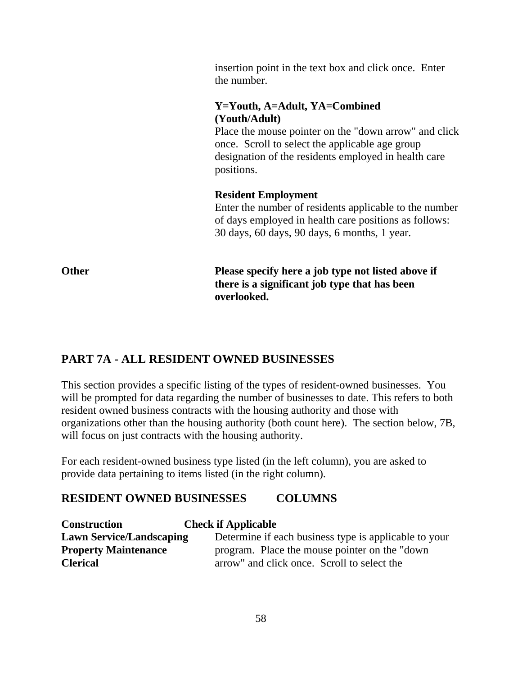insertion point in the text box and click once. Enter the number.

# **Y=Youth, A=Adult, YA=Combined (Youth/Adult)**

Place the mouse pointer on the "down arrow" and click once. Scroll to select the applicable age group designation of the residents employed in health care positions.

# **Resident Employment**

Enter the number of residents applicable to the number of days employed in health care positions as follows: 30 days, 60 days, 90 days, 6 months, 1 year.

**Other** Please specify here a job type not listed above if **there is a significant job type that has been overlooked.**

# **PART 7A - ALL RESIDENT OWNED BUSINESSES**

This section provides a specific listing of the types of resident-owned businesses. You will be prompted for data regarding the number of businesses to date. This refers to both resident owned business contracts with the housing authority and those with organizations other than the housing authority (both count here). The section below, 7B, will focus on just contracts with the housing authority.

For each resident-owned business type listed (in the left column), you are asked to provide data pertaining to items listed (in the right column).

# **RESIDENT OWNED BUSINESSES COLUMNS**

| <b>Construction</b>             | <b>Check if Applicable</b>                            |
|---------------------------------|-------------------------------------------------------|
| <b>Lawn Service/Landscaping</b> | Determine if each business type is applicable to your |
| <b>Property Maintenance</b>     | program. Place the mouse pointer on the "down"        |
| <b>Clerical</b>                 | arrow" and click once. Scroll to select the           |

58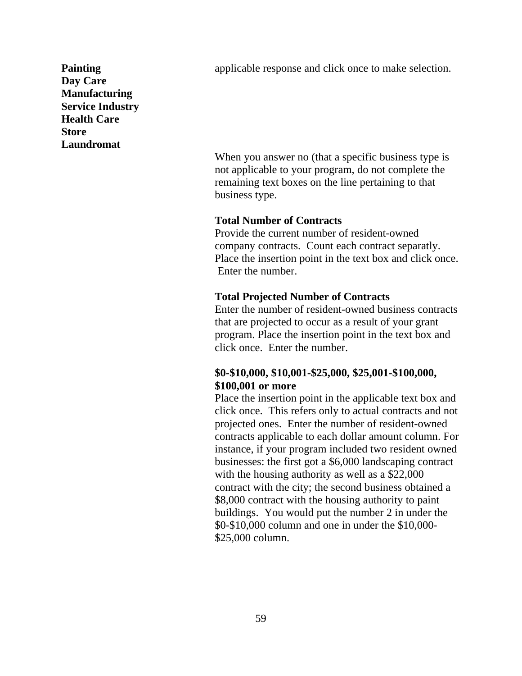**Painting** applicable response and click once to make selection.

**Day Care Manufacturing Service Industry Health Care Store Laundromat**

> When you answer no (that a specific business type is not applicable to your program, do not complete the remaining text boxes on the line pertaining to that business type.

### **Total Number of Contracts**

Provide the current number of resident-owned company contracts. Count each contract separatly. Place the insertion point in the text box and click once. Enter the number.

### **Total Projected Number of Contracts**

Enter the number of resident-owned business contracts that are projected to occur as a result of your grant program. Place the insertion point in the text box and click once. Enter the number.

# **\$0-\$10,000, \$10,001-\$25,000, \$25,001-\$100,000, \$100,001 or more**

Place the insertion point in the applicable text box and click once. This refers only to actual contracts and not projected ones. Enter the number of resident-owned contracts applicable to each dollar amount column. For instance, if your program included two resident owned businesses: the first got a \$6,000 landscaping contract with the housing authority as well as a \$22,000 contract with the city; the second business obtained a \$8,000 contract with the housing authority to paint buildings. You would put the number 2 in under the \$0-\$10,000 column and one in under the \$10,000- \$25,000 column.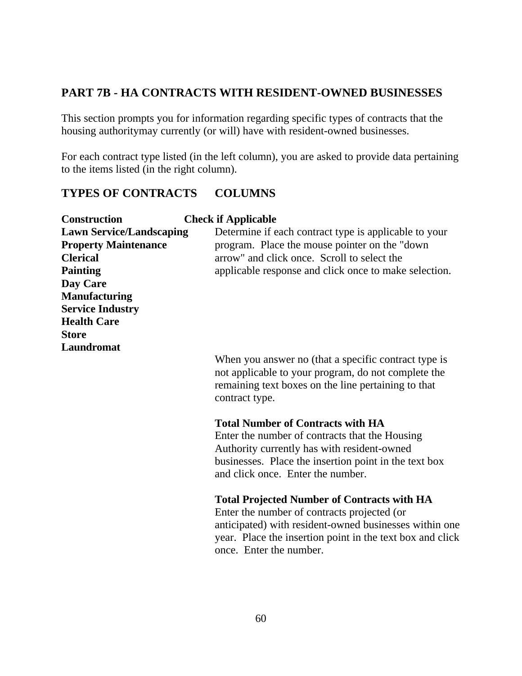# **PART 7B - HA CONTRACTS WITH RESIDENT-OWNED BUSINESSES**

This section prompts you for information regarding specific types of contracts that the housing authoritymay currently (or will) have with resident-owned businesses.

For each contract type listed (in the left column), you are asked to provide data pertaining to the items listed (in the right column).

# **TYPES OF CONTRACTS COLUMNS**

| <b>Construction</b>             | <b>Check if Applicable</b>                                                                                                                                                                                                                          |
|---------------------------------|-----------------------------------------------------------------------------------------------------------------------------------------------------------------------------------------------------------------------------------------------------|
| <b>Lawn Service/Landscaping</b> | Determine if each contract type is applicable to your                                                                                                                                                                                               |
| <b>Property Maintenance</b>     | program. Place the mouse pointer on the "down"                                                                                                                                                                                                      |
| <b>Clerical</b>                 | arrow" and click once. Scroll to select the                                                                                                                                                                                                         |
| <b>Painting</b>                 | applicable response and click once to make selection.                                                                                                                                                                                               |
| Day Care                        |                                                                                                                                                                                                                                                     |
| <b>Manufacturing</b>            |                                                                                                                                                                                                                                                     |
| <b>Service Industry</b>         |                                                                                                                                                                                                                                                     |
| <b>Health Care</b>              |                                                                                                                                                                                                                                                     |
| <b>Store</b>                    |                                                                                                                                                                                                                                                     |
| Laundromat                      |                                                                                                                                                                                                                                                     |
|                                 | When you answer no (that a specific contract type is<br>not applicable to your program, do not complete the<br>remaining text boxes on the line pertaining to that<br>contract type.                                                                |
|                                 | <b>Total Number of Contracts with HA</b><br>Enter the number of contracts that the Housing<br>Authority currently has with resident-owned<br>businesses. Place the insertion point in the text box<br>and click once. Enter the number.             |
|                                 | <b>Total Projected Number of Contracts with HA</b><br>Enter the number of contracts projected (or<br>anticipated) with resident-owned businesses within one<br>year. Place the insertion point in the text box and click<br>once. Enter the number. |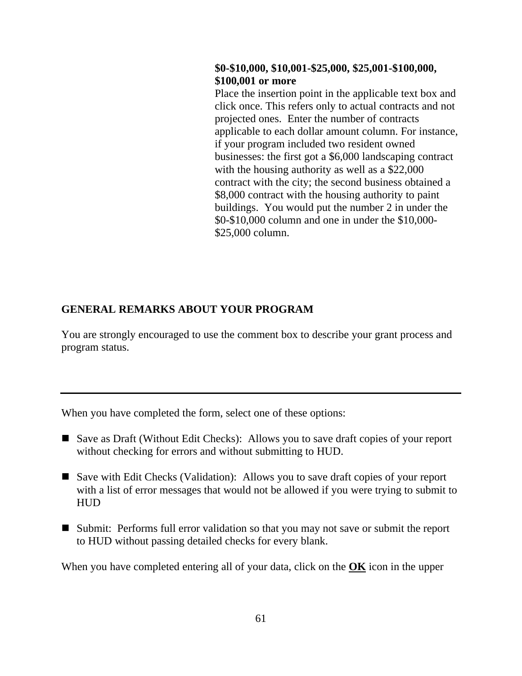# **\$0-\$10,000, \$10,001-\$25,000, \$25,001-\$100,000, \$100,001 or more**

Place the insertion point in the applicable text box and click once. This refers only to actual contracts and not projected ones. Enter the number of contracts applicable to each dollar amount column. For instance, if your program included two resident owned businesses: the first got a \$6,000 landscaping contract with the housing authority as well as a \$22,000 contract with the city; the second business obtained a \$8,000 contract with the housing authority to paint buildings. You would put the number 2 in under the \$0-\$10,000 column and one in under the \$10,000- \$25,000 column.

# **GENERAL REMARKS ABOUT YOUR PROGRAM**

You are strongly encouraged to use the comment box to describe your grant process and program status.

When you have completed the form, select one of these options:

- Save as Draft (Without Edit Checks): Allows you to save draft copies of your report without checking for errors and without submitting to HUD.
- Save with Edit Checks (Validation): Allows you to save draft copies of your report with a list of error messages that would not be allowed if you were trying to submit to HUD
- Submit: Performs full error validation so that you may not save or submit the report to HUD without passing detailed checks for every blank.

When you have completed entering all of your data, click on the **OK** icon in the upper